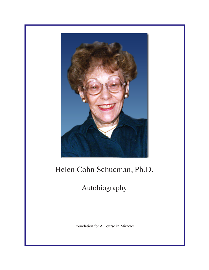

# Helen Cohn Schucman, Ph.D.

Autobiography

Foundation for A Course in Miracles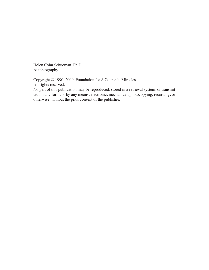Helen Cohn Schucman, Ph.D. Autobiography

Copyright © 1990, 2009 Foundation for A Course in Miracles All rights reserved.

No part of this publication may be reproduced, stored in a retrieval system, or transmitted, in any form, or by any means, electronic, mechanical, photocopying, recording, or otherwise, without the prior consent of the publisher.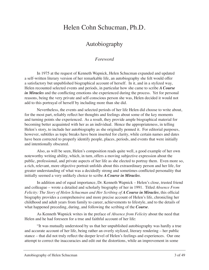# Helen Cohn Schucman, Ph.D.

# Autobiography

#### *Foreword*

In 1975 at the request of Kenneth Wapnick, Helen Schucman expanded and updated a self-written literary version of her remarkable life, an autobiography she felt would offer a satisfactory but unpublished biographical account of herself. In it, and in a stylized way, Helen recounted selected events and periods, in particular how she came to scribe *A Course in Miracles* and the conflicting emotions she experienced during the process. Yet for personal reasons, being the very private and self-conscious person she was, Helen decided it would not add to this portrayal of herself by including more than she did.

Nevertheless, the events and selected periods of her life Helen did choose to write about, for the most part, reliably reflect her thoughts and feelings about some of the key moments and turning points she experienced. As a result, they provide ample biographical material for becoming better acquainted with her as an individual. Hence the appropriateness, in telling Helen's story, to include her autobiography as she originally penned it. For editorial purposes, however, subtitles as topic breaks have been inserted for clarity, while certain names and dates have been corrected to properly identify people, places, periods, and events that were initially and intentionally obscured.

Also, as will be seen, Helen's composition reads quite well, a good example of her own noteworthy writing ability, which, in turn, offers a moving subjective expression about the public, professional, and private aspects of her life as she elected to portray them. Even more so, a rich, relevant, more objective portrait unfolds about this extraordinary person and her life, for greater understanding of what was a decidedly strong and sometimes conflicted personality that initially seemed a very unlikely choice to scribe *A Course in Miracles.*

In addition and of equal importance, Dr. Kenneth Wapnick – Helen's close, trusted friend and colleague – wrote a detailed and scholarly biography of her in 1991. Titled *Absence From Felicity: The Story of Helen Schucman and Her Scribing of A Course in Miracles*, this official biography provides a comprehensive and more precise account of Helen's life, chronicling her childhood and adult years from family to career, achievements to lifestyle, and to the details of what happened preceding, during, and following the scribing of the *Course*.

As Kenneth Wapnick writes in the preface of *Absence from Felicity* about the need that Helen and he had foreseen for a true and faithful account of her life:

"It was mutually understood by us that her unpublished autobiography was hardly a true and accurate account of her life, being rather an overly stylized, literary rendering – her public stance – that did not truly reflect the deeper level of Helen's feelings and experiences. Our one attempt to correct the inaccuracies and edit out the distortions, while an improvement in some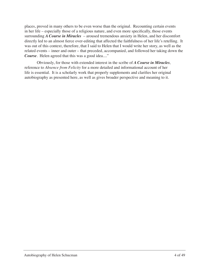places, proved in many others to be even worse than the original. Recounting certain events in her life – especially those of a religious nature, and even more specifically, those events surrounding *A Course in Miracles* – aroused tremendous anxiety in Helen, and her discomfort directly led to an almost fierce over-editing that affected the faithfulness of her life's retelling. It was out of this context, therefore, that I said to Helen that I would write her story, as well as the related events – inner and outer – that preceded, accompanied, and followed her taking down the *Course*. Helen agreed that this was a good idea...."

Obviously, for those with extended interest in the scribe of *A Course in Miracles,* reference to *Absence from Felicity* for a more detailed and informational account of her life is essential. It is a scholarly work that properly supplements and clarifies her original autobiography as presented here, as well as gives broader perspective and meaning to it.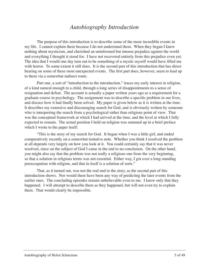### *Autobiography Introduction*

The purpose of this introduction is to describe some of the more incredible events in my life. I cannot explain them because I do not understand them. When they began I knew nothing about mysticism, and cherished an uninformed but intense prejudice against the world and everything I thought it stood for. I have not recovered entirely from this prejudice even yet. The idea that I would one day turn out to be something of a mystic myself would have filled me with horror. To some extent it still does. It is the second part of this introduction that has direct bearing on some of these most unexpected events. The first part does, however, seem to lead up to them via a somewhat indirect route.

Part one, a sort of "introduction to the introduction," traces my early interest in religion, of a kind natural enough in a child, through a long series of disappointments to a sense of resignation and defeat. The account is actually a paper written years ago as a requirement for a graduate course in psychology. The assignment was to describe a specific problem in our lives, and discuss how it had finally been solved. My paper is given below as it is written at the time. It describes my extensive and discouraging search for God, and is obviously written by someone who is interpreting the search from a psychological rather than religious point of view. That was the conceptual framework at which I had arrived at the time, and the level at which I fully expected to remain. The actual position I held on religion was summed up in a brief preface which I wrote to the paper itself:

"This is the story of my search for God. It began when I was a little girl, and ended comparatively recently on a somewhat tentative note. Whether you think I resolved the problem at all depends very largely on how you look at it. You could certainly say that it was never resolved, since on the subject of God I came in the end to no conclusion. On the other hand, you might also say that the problem was not really a religious one from the very beginning, so that a solution in religious terms was not essential. Either way, I got over a long-standing preoccupation with religion, and that in itself is a solution of sorts."

That, as it turned out, was not the real end to the story, as the second part of this introduction shows. Nor would there have been any way of predicting the later events from the earlier ones. The concluding episodes remain unbelievable even to me. I know only that they happened. I will attempt to describe them as they happened, but will not even try to explain them. That would clearly be impossible.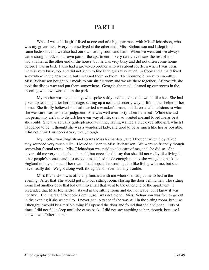# **PART I**

When I was a little girl I lived at one end of a big apartment with Miss Richardson, who was my governess. Everyone else lived at the other end. Miss Richardson and I slept in the same bedroom, and we also had our own sitting room and bath. When we went out we always came straight back to our own part of the apartment. I very rarely even saw the rest of it. I had a father at the other end of the house, but he was very busy and did not often come home before I was in bed. I also had a grown-up brother who was about fourteen when I was born. He was very busy, too, and did not seem to like little girls very much. A Cook and a maid lived somewhere in the apartment, but I was not their problem. The household ran very smoothly. Miss Richardson bought our meals to our sitting room and we ate there together. Afterwards she took the dishes way and put them somewhere. Georgia, the maid, cleaned up our rooms in the morning while we were out in the park.

My mother was a quiet lady, who spoke softly and hoped people would like her. She had given up teaching after her marriage, setting up a neat and orderly way of life in the shelter of her home. She firmly believed she had married a wonderful man, and deferred all decisions to what she was sure was his better judgment. She was well over forty when I arrived. While she did not permit my arrival to disturb her even way of life, she had wanted me and loved me as best she could. She was actually quite pleased with me, having wanted a blue-eyed little girl, which I happened to be. I thought she was a wonderful lady, and tried to be as much like her as possible. I did not think I succeeded very well, though.

My mother was English and so was Miss Richardson, and I thought when they talked they sounded very much alike. I loved to listen to Miss Richardson. We were on friendly though somewhat formal terms. Miss Richardson was paid to take care of me, and she did so. She never told me very much about herself, but once she did say that she did not really like living in other people's homes, and just as soon as she had made enough money she was going back to England to buy a home of her own. I had hoped she would get to like living with me, but she never really did. We got along well, though, and never had any trouble.

Miss Richardson was officially finished with me when she had put me to bed in the evening. After that, she would got into our sitting room, closing the door behind her. The sitting room had another door that led out into a hall that went to the other end of the apartment. I pretended that Miss Richardson stayed in the sitting room and did not leave, but I knew it was not true. The maid and the cook slept in, so I was not alone. Miss Richardson was free to go out in the evening if she wanted to. I never got up to see if she was still in the sitting room, because I thought it would be a terrible thing if I opened the door and found that she had gone. Lots of times I did not fall asleep until she came back. I did not say anything to her, though, because I knew it was "after hours."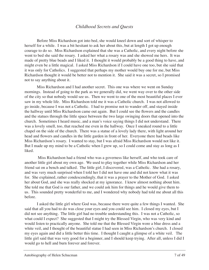#### *Childhood Secrets and Quests*

Before Miss Richardson got into bed, she would kneel down and sort of whisper to herself for a while. I was a bit hesitant to ask her about this, but at length I got up enough courage to do so. Miss Richardson explained that she was a Catholic, and every night before she went to bed she said the rosary. I asked her what a rosary was and she showed me hers. It was made of pretty blue beads and I liked it. I thought it would probably be a good thing to have, and might even be a little magical. I asked Miss Richardson if I could have one too, but she said that it was only for Catholics. I suggested that perhaps my mother would buy one for me, but Miss Richardson thought it would be better not to mention it. She said it was a secret, so I promised not to say anything about it.

Miss Richardson and I had another secret. This one was where we went on Sunday mornings. Instead of going to the park as we generally did, we went way over to the other side of the city so that nobody would see us. Then we went to one of the most beautiful places I ever saw in my whole life. Miss Richardson told me it was a Catholic church. I was not allowed to go inside, because I was not a Catholic. I had to promise not to wander off, and stayed inside the hallway until Miss Richardson came out again. But I could see the flowers and the candles and the statues through the little space between the two large swinging doors that opened into the church. Sometimes I heard music, and a man's voice saying things I did not understand. There was a lovely smell, too, that reached me even in the hallway. Once I sneaked round to a little chapel on the side of the church. There was a statue of a lovely lady there, with light around her head and flowers and candles in the little garden in front of her. Everyone there had beads like Miss Richardson's rosary. I wanted to stay, but I was afraid Miss Richardson would not like it. But I made up my mind to be a Catholic when I grew up, so I could come and stay as long as I liked.

 Miss Richardson had a friend who was a governess like herself, and who took care of another little girl about my own age. We used to play together while Miss Richardson and her friend sat on a bench and talked. The little girl, I discovered, was a Catholic. She had a rosary, and was very much surprised when I told her I did not have one and did not know what it was for. She explained, rather condescendingly, that it was a prayer to the Mother of God. I asked her about God, and she was really shocked at my ignorance. I knew almost nothing about him. She told me that God is our father, and we could ask him for things and he would give them to us. This sounded pretty wonderful to me, and I wondered why nobody had told me about all this before.

I asked the little girl where God was, because there were quite a few things I wanted. She said that all you had to do was close your eyes and you could see him. I closed my eyes, but I did not see anything. The little girl had no trouble understanding this. I was not a Catholic, so what could I expect? She suggested that I might try the Blessed Virgin, who was very kind and would listen to practically anyone. She told me that the Blessed Virgin wore a blue dress and a white veil, and I thought of the beautiful statue I had seen in Miss Richardson's church. I closed my eyes again and did a little better this time. I thought I caught a glimpse of a white veil. The little girl said that was very good for a beginner, and I should keep trying. After all, unless I did I would go to hell and burn forever and forever.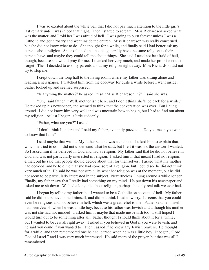I was so excited about the white veil that I did not pay much attention to the little girl's last remark until I was in bed that night. Then I started to scream. Miss Richardson asked what was the matter, and I told her I was afraid of hell. I was going to burn forever unless I was a Catholic and got a rosary and went inside the church. Miss Richardson was really concerned, but she did not know what to do. She thought for a while, and finally said I had better ask my parents about religion. She explained that people generally have the same religion as their parents have, and maybe they could tell me about things. She said I need not be afraid of hell, though, because she would pray for me. I thanked her very much, and made her promise not to forget. Then I decided to ask my parents about my religion right away. Miss Richardson did not try to stop me.

I crept down the long hall to the living room, where my father was sitting alone and reading a newspaper. I watched him from the doorway for quite a while before I went inside. Father looked up and seemed surprised.

"Is anything the matter?" he asked. "Isn't Miss Richardson in?" I said she was.

"Oh," said father. "Well, mother isn't here, and I don't think she'll be back for a while." He picked up his newspaper, and seemed to think that the conversation was over. But I hung around. I did not know him very well and was uncertain how to begin, but I had to find out about my religion. At last I began, a little suddenly.

"Father, what are you?" I asked.

"I don't think I understand," said my father, evidently puzzled. "Do you mean you want to know that I do?"

I said maybe that was it. My father said he was a chemist. I asked him to explain that, which he tried to do. I did not understand what he said, but I felt it was not the answer I wanted. So I asked him if he believed in God and had a religion. My father said that he did not believe in God and was not particularly interested in religion. I asked him if that meant I had no religion, either, but he said that people should decide about that for themselves. I asked what my mother had decided, and he told me that she had some sort of a religion, but I could see he did not think very much of it. He said he was not sure quite what her religion was at the moment, but he did not seem to be particularly interested in the subject. Nevertheless, I hung around a while longer. Finally, my father saw that I really had something on my mind. He put down his newspaper and asked me to sit down. We had a long talk about religion, perhaps the only real talk we ever had.

I began by telling my father that I wanted to be a Catholic on account of hell. My father said he did not believe in hell himself, and did not think I had to worry. It seems that you could even be religious and not believe in hell, which was a great relief to me. Father said he himself had been Jewish when he was a little boy, because his father was Jewish and although his mother was not she had not minded. I asked him if maybe that made me Jewish too. I still hoped I would turn out to be something after all. Father thought I should think about it for a while, but I wanted to be Jewish right away. I asked if you believed in God if you were Jewish, and he said you could if you wanted to. Then I asked if he knew any Jewish prayers. He thought for a while, and then remembered one he had learned when he was a little boy. It began, "Lord God of Israel," and I was very much impressed. He said more of the prayer, but that was all I remembered.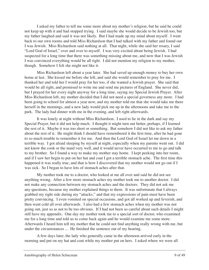I asked my father to tell me some more about my mother's religion, but he said he could not keep up with it and had stopped trying. I said maybe she would decide to be Jewish too, but my father laughed and said it was not likely. But I had made up my mind about myself. I went back to our own rooms and told Miss Richardson that I had talked with my father and found out I was Jewish. Miss Richardson said nothing at all. That night, while she said her rosary, I said "Lord God of Israel," over and over to myself. I was very excited about being Jewish. I had suspected for a long time that there was something missing about me, and now that I was Jewish I was convinced everything would be all right. I did not mention my religion to my mother, though. Somehow I felt she might not like it.

Miss Richardson left about a year later. She had saved up enough money to buy her own home at last. She kissed me before she left, and said she would remember to pray for me. I thanked her and told her I would pray for her too, if she wanted a Jewish prayer. She said that would be all right, and promised to write me and send me pictures of England. She never did, but I prayed for her every night anyway for a long time, saying my Special Jewish Prayer. After Miss Richardson left, my mother decided that I did not need a special governess any more. I had been going to school for almost a year now, and my mother told me that she would take me there herself in the mornings, and a new lady would pick me up in the afternoons and take me to the park. The lady had dinner with me in the evening, and left right afterwards.

It was lonely at night without Miss Richardson. I used to lie in the dark and say my Special Prayer, but it did not help much. I thought it might turn out better, perhaps, if I learned the rest of it. Maybe it was too short or something. But somehow I did not like to ask my father about the rest of it. He might think I should have remembered it the first time, after he had gone to so much trouble to remember it for me. And then the Lord God of Israel let me down in a terrible way. I got afraid sleeping by myself at night, especially when my parents went out. I did not know the cook or the maid very well, and it would never have occurred to me to go and talk to my brother. So I found a way to make my mother stay home. I kept peeking into her room, and if I saw her begin to put on her hat and coat I got a terrible stomach ache. The first time this happened it was really true, and that is how I discovered that my mother would not go out if I was sick. So I began to have lots of stomach aches after that.

My mother took me to a doctor, who looked at me all over and said he did not see anything wrong. After a few more stomach aches my mother took me to another doctor. I did not make any connection between my stomach aches and the doctors. They did not ask me any questions, because my mother explained things to them. It was unfortunate that I always grabbed my right side during my "attacks," and that my expressions of pain must have been pretty convincing. I even vomited on special occasions, and got all worked up and feverish, and then went cold all over afterwards. I also had a few stomach aches when my mother was not going out, just so as not to be too obvious. If I had not been so careful about such details I might still have my appendix. One day my mother took me to a special sort of doctor, who examined me for a long time and told us to come back again and he would examine me some more. Afterwards I heard him tell my mother that he could not find anything really wrong with me, but under the circumstances ... He finished the sentence out of my hearing.

A few days later, the lady who generally came in the afternoon arrived early in the morning and put on my hat and coat while my mother put on hers. I asked where we were all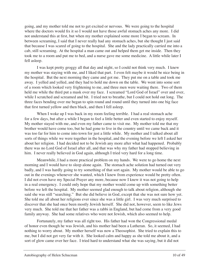going, and my mother told me not to get excited or nervous. We were going to the hospital where the doctors would fix it so I would not have those awful stomach aches any more. I did not understand this at first, but when my mother explained some more I began to scream. In between screaming, I said that I never really had any stomach aches, but she thought I just said that because I was scared of going to the hospital. She and the lady practically carried me into a cab, still screaming. At the hospital a man came out and helped them get me inside. Then they took me to a room and put me to bed, and a nurse gave me some medicine. A little while later I fell asleep.

I was kept pretty groggy all that day and night, so I could not think very much. I knew my mother was staying with me, and I liked that part. I even felt maybe it would be nice being in the hospital. But the next morning they came and got me. They put me on a table and took me away. I yelled and yelled, and they had to hold me down on the table. We went into some sort of a room which looked very frightening to me, and three men were waiting there. Two of them held me while the third put a mask over my face. I screamed "Lord God of Israel" over and over, while I scratched and screamed and bit. I tried not to breathe, but I could not hold out long. The three faces bending over me began to spin round and round until they turned into one big face that first turned yellow and then black, and then I fell asleep.

When I woke up I was back in my room feeling terrible. I had a real stomach ache for a few days, but after a while I began to feel a little better and even started to enjoy myself. My mother stayed with me, and even my father came to visit me. My mother told me that my brother would have come too, but he had gone to live in the country until we came back and it was too far for him to come into town for just a little while. My mother and I talked about all sorts of things while we were together in the hospital, and the evening before we left I asked her about her religion. I had decided not to be Jewish any more after what had happened. Probably there was no Lord God of Israel after all, and that was why my father had stopped believing in him. I never really believed in God again, although I tried very hard for a long time.

Meanwhile, I had a more practical problem on my hands. We were to go home the next morning and I would have to sleep alone again. The stomach ache solution had turned out very badly, and I was hardly going to try something of that sort again. My mother would be able to go out in the evenings whenever she wanted, which I knew from experience would be pretty often. I did not even have my Special Prayer any more, because now I knew it was not going to help in a real emergency. I could only hope that my mother would come up with something better before we left the hospital. My mother seemed glad enough to talk about religion, although she said she was still "searching." But she did believe in God, except that she was not sure how yet. She told me all about her religions ever since she was a little girl. I was very much surprised to discover that she had once been mostly Jewish herself. She did not, however, seem to like Jews very much. She told me that her father was a rabbi in England, but had come from a very good family anyway. She had some relatives who were not Jewish, which also seemed to help.

Fortunately, my father was all right too. His father had won the Congressional medal of honor even though he was Jewish, and his mother had been a Lutheran. So, it seemed, I had nothing to worry about. My mother herself was now a Theosophist. She tried to explain this to me, but I did not get very far with it. She looked calm and happy as she told me about it, and a sort of glow came over her face. I tried hard to understand what she was saying, but it did not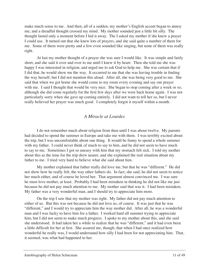make much sense to me. And then, all of a sudden, my mother's English accent began to annoy me, and a dreadful thought crossed my mind. My mother sounded just a little bit silly. The thought lasted only a moment before I hid it away. The I asked my mother if she knew a prayer I could use. It turned out that she knew lots of prayers, and she said quite a number of them for me. Some of them were pretty and a few even sounded like singing, but none of them was really right.

At last my mother thought of a prayer she was sure I would like. It was simple and fairly short, and she said it over and over to me until I knew it by heart. Then she told me she was happy I was interested in religion, and urged me to ask God to help me. She was certain that if I did that, he would show me the way. It occurred to me that she was having trouble in finding the way herself, but I did not mention this aloud. After all, she was being very good to me. She said that when we got home she would come to my room every evening and say our prayer with me. I said I thought that would be very nice. She began to stop coming after a week or so, although she did come regularly for the first few days after we were back home again. I was not particularly sorry when she gave up coming entirely. I did not want to tell her so, but I never really believed her prayer was much good. I completely forgot it myself within a month.

#### *A Miracle at Lourdes*

I do not remember much about religion from then until I was about twelve. My parents had decided to spend the summer in Europe and take me with them. I was terribly excited about the trip, but I was uncomfortable about one thing. It would be funny to spend a whole summer with my father. I could never think of much to say to him, and he did not seem to have much to say to me. Sometimes I got so uneasy with him that my stomach felt sick. I told my mother about this as the time for the trip drew nearer, and she explained the real situation about my father to me. I tried very hard to believe what she said about him.

My mother explained that father really did love me, but that he was "different." He did not show how he really felt, the way other fathers do. In fact, she said, he did not seem to notice her much either, and of course he loved her. That argument almost convinced me. I was sure he must love mother, at least. Probably I had been mistaken in thinking he did not like me just because he did not pay much attention to me. My mother said that was it. I had been mistaken. My father was a very wonderful man, and I should try to appreciate him more.

On the trip I saw that my mother was right. My father did not pay much attention to either of us. But this was not because he did not love us, of course. It was just that he was "different," and I would try to appreciate him the way mother did. After all, he was a wonderful man and I was lucky to have him for a father. I worked hard all summer trying to appreciate him, but I did not seem to make much progress. I spoke to my mother about this, and she said she understood. It had taken her a while to realize that he was "different," and it had even been a little difficult for her at first. She assured me, though, that when I had once realized how wonderful he really was, I would understand how silly I had been for not appreciating him. That, it seemed, was what had happened to her.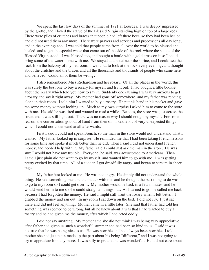We spent the last few days of the summer of 1921 at Lourdes. I was deeply impressed by the grotto, and I loved the statue of the Blessed Virgin standing high on top of a large rock. There were piles of crutches and braces that people had left there because they had been healed and did not need them any more. There were prayers and services and processions all day long, and in the evenings too. I was told that people came from all over the world to be blessed and healed, and to get the special water that came out of the side of the rock where the statue of the Blessed Virgin stood. I was blessed too, and bought a bottle with a gold cross on it so I could bring some of the water home with me. We stayed at a hotel near the shrine, and I could see the rock from the balcony of my bedroom. I went out to look at the rock every evening, and thought about the crutches and the braces and all the thousands and thousands of people who came here and believed. Could all of them be wrong?

I also remembered Miss Richardson and her rosary. Of all the places in the world, this was surely the best one to buy a rosary for myself and try it out. I had bought a little booklet about the rosary which told you how to say it. Suddenly one evening I was very anxious to get a rosary and say it right away. My mother had gone off somewhere, and my father was reading alone in their room. I told him I wanted to buy a rosary. He put his hand in his pocket and gave me some money without looking up. Much to my own surprise I asked him to come to the store with me. He said he was tired and wanted to read a while. Besides, the store was just across the street and it was still light out. There was no reason why I should not go by myself. For some reason, the conversation got out of hand from then on. I said a lot of very unexpected things which I could not understand at all afterwards.

First I said I could not speak French, so the man in the store would not understand what I wanted. My father looked up in surprise. He reminded me that I had been taking French lessons for some time and spoke it much better than he did. Then I said I did not understand French money, and needed help with it. My father said I could just ask the man in the store. He was sure I would not have any trouble. Everyone, he said, was accustomed to Americans. Then I said I just plain did not want to go by myself, and wanted him to go with me. I was getting pretty excited by that time. All of a sudden I got dreadfully angry, and began to scream in sheer rage.

My father just looked at me. He was not angry. He simply did not understand the whole thing. He said something must be the matter with me, and he thought the best thing to do was to go to my room so I could get over it. My mother would be back in a few minutes, and he would send her in to me so she could straighten things out. As I turned to go, he called me back because I had forgotten the money. He said I might still want the rosary when I felt better. I grabbed the money and ran out. In my room I sat down on the bed. I did not cry. I just sat there and did not feel anything. Mother came in a little later. She said that father had told her something was seemed to be wrong, but all he knew about it was that I had wanted to buy a rosary and he had given me the money, after which I had acted oddly.

I did not say anything. My mother said she did not think I was being very appreciative, after father had given us such a wonderful summer and had been so kind to us. I said it was not true that he was being nice to us. He was horrible and had always been horrible. I told mother she had just plain made up the part about his being "different," and I was not going to try to appreciate him any more. It was silly to pretend he was wonderful. He did not care about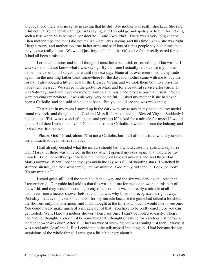anybody, and there was no sense in saying that he did. My mother was really shocked. She said I did not realize the terrible things I was saying, and I should go and apologize to him for making such a fuss when he as being so considerate. I said I wouldn't. There was a very long silence. Then mother repeated that I did not realize what I was saying, and this time I knew she was right. I began to cry, and mother took me in her arms and said lots of times people say bad things that they do not really mean. We would just forget all about it. Of course father really cared for us. It had all been a mistake.

I cried a lot more, and said I thought I must have been sick or something. That was it. I was sick and did not know what I was saying. By that time I actually felt sick, so my mother helped me to bed and I stayed there until the next day. None of us ever mentioned the episode again. In the morning father went somewhere for the day, and mother came with me to buy the rosary. I also bought a little medal of the Blessed Virgin, and we took them both to a priest to have them blessed. We stayed in the grotto for Mass and for a beautiful service afterwards. It was Saturday, and there were even more flowers and music and processions than usual. People were praying everywhere. It was all very, very beautiful. I asked my mother if she had ever been a Catholic, and she said she had not been. But you could see she was weakening.

That night in my room I stayed up in the dark with my rosary in my hand and my medal round my neck, and thought about God and Miss Richardson and the Blessed Virgin. Suddenly I had an idea. This was a wonderful place, and perhaps if I asked for a miracle for myself I would get it. And then I would believe in God and become a Catholic. I went out onto the balcony and looked over to the rock.

"Please, God," I said, aloud, "I'm not a Catholic, but if all of this is true, would you send me a miracle so I can believe in you?"

I had already decided what the miracle should be. I would close my eyes and say three Hail Marys. If there was a meteor in the sky when I opened my eyes again, that would be my miracle. I did not really expect to find the meteor, but I closed my eyes and said three Hail Marys anyway. When I opened my eyes again the sky was full of shooting stars. I watched in stunned silence, and then whispered, "It's my miracle. God really did send it. Look, oh look! It's my miracle."

I stood quite still until the stars had faded away and the sky was dark again. And then I remembered. Our guide had told us that this was the time for meteor showers in this part of the world, and they would be coming pretty often soon. It was not really a miracle at all. I had never seen a meteor shower before, and that was why I had not recognized it right away. Probably I had even picked on a meteor for my miracle because the guide had talked a lot about the showers only that afternoon, and I had thought at the time how much I would like to see one. You could hardly make much of a miracle out of that. You have to be pretty careful, or you can get fooled. Well, I know a meteor shower when I see one. I can't be fooled so easily. Then I had another thought. Couldn't it be a miracle that I thought of asking for a meteor just before a meteor shower was due? After all, I had no way of knowing one was coming just then. Maybe it was a real miracle after all. But I could not quite talk myself into it again. I had become deeply suspicious of the whole thing. I even got a little bit angry about it.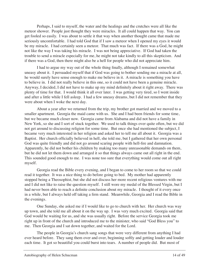Perhaps, I said to myself, the water and the healings and the crutches were all like the meteor shower. People just thought they were miracles. It all could happen that way. You can get fooled so easily. I was about to settle it that way when another thought came that made me seriously uncomfortable. I had told God that if I saw a meteor when I opened my eyes it would be my miracle. I had certainly seen a meteor. That much was fact. If there was a God, he might not like the way I was taking his miracle. I was not being appreciative. If God had taken the trouble to send a miracle especially for me, he might not take kindly to all this skepticism. And if there was a God, then there might also be a hell for people who did not appreciate him.

I had to argue my way out of the whole thing finally, although I remained somewhat uneasy about it. I persuaded myself that if God was going to bother sending me a miracle at all, he would surely have sense enough to make me believe in it. A miracle is something you have to believe in. I did not really believe in this one, so it could not have been a genuine miracle. Anyway, I decided, I did not have to make up my mind definitely about it right away. There was plenty of time for that. I would think it all over later. I was getting very tired, so I went inside and after a little while I fell asleep. I had a few uneasy dreams, but I did not remember that they were about when I woke the next day.

About a year after we returned from the trip, my brother got married and we moved to a smaller apartment. Georgia the maid came with us. She and I had been friends for some time, but we became much closer now. Georgia came from Alabama and did not have a family in New York, so she and I sort of stuck together. We used to talk things over quite often, but we did not get around to discussing religion for some time. But once she had mentioned the subject, I became very much interested in her religion and asked her to tell me all about it. Georgia was a Baptist. Her church officially believed in hell, she told me, but I gathered that her own personal God was quite friendly and did not go around scaring people with hell-fire and damnation. Apparently, he did not bother his children by making too many unreasonable demands on them, but he did not let them down and arranged it so that things always came out all right in the end. This sounded good enough to me. I was none too sure that everything would come out all right myself.

Georgia read the Bible every evening, and I began to come to her room so that we could read it together. It was a nice thing to do before going to bed. My mother had apparently stopped being a Theosophist, but she did not discuss her more recent religious ventures with me and I did not like to raise the question myself. I still wore my medal of the Blessed Virgin, but I had never been able to reach a definite conclusion about my miracle. I thought of it every once in a while, but I always held off taking a firm stand. Meanwhile, Georgia and I read the Bible in the evenings.

One Sunday, she asked me if I would like to go to church with her. Her church was way up town, and she told me all about it on the way up. I was very much excited. Georgia said that God would be waiting for us, and she was usually right. Before the service Georgia took me right up in front of the church and introduced me to the minister, who said "God Bless you" to me. Then Georgia and I sat down together, and waited for the Lord.

The people in Georgia's church sang songs that were very different from anything I had ever heard before. They sang them over and over, beginning softly and getting louder and louder each time. It got so beautiful you could burst into tears. A number of people did. But most of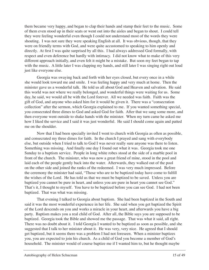them became very happy, and began to clap their hands and stamp their feet to the music. Some of them even stood up in their seats or went out into the aisles and began to shout. I could tell they were feeling wonderful even though I could not understand most of the words they were shouting. I was not sure they were speaking English at all. It was obvious, though, that they were on friendly terms with God, and were quite accustomed to speaking to him openly and directly. At first I was quite surprised by all this. I had always addressed God formally, with respect and even deference but hardly with intimacy. I did not know what to make of this very different approach initially, and even felt it might be a mistake. But soon my feet began to tap with the music. A little later I was clapping my hands, and still later I was singing right out loud just like everyone else.

Georgia was swaying back and forth with her eyes closed, but every once in a while she would look toward me and smile. I was feeling happy and very much at home. Then the minister gave us a wonderful talk. He told us all about God and Heaven and salvation. He said this world was not where we really belonged, and wonderful things were waiting for us. Some day, he said, we would all be with the Lord forever. All we needed was faith. Faith was the gift of God, and anyone who asked him for it would be given it. There was a "consecration collection" after the sermon, which Georgia explained to me. If you wanted something special, you consecrated three dimes to God and asked God for faith. After that we sang some more, and then everyone went outside to shake hands with the minister. When my turn came he asked me how I liked the service and I said it was just wonderful. He said I should come again and patted me on the shoulder.

Now that I had been specially invited I went to church with Georgia as often as possible, and consecrated my three dimes for faith. In the church I prayed and sang with everybody else, but outside when I tried to talk to God I was never really sure anyone was there to listen. Something was missing. And finally one day I found out what it was. Georgia took me one Sunday to a baptism service. People in long white robes stood at the side of a marble pool in front of the church. The minister, who was now a great friend of mine, stood in the pool and laid each of the people gently back into the water. Afterwards, they walked out of the pool on the other side and joined the ranks of the redeemed. I was very much impressed. Before the ceremony the minister had said, "Those who are to be baptized today have come to fulfill the wishes of the Lord. He has told us that we must be baptized to be saved. Unless you are baptized you cannot be pure in heart, and unless you are pure in heart you cannot see God." That's it, I thought to myself. You have to be baptized before you can see God. I had not been baptized. That was what was missing.

That evening I talked to Georgia about baptism. She had been baptized in the South and said it was the most wonderful experience in her life. She said when you get baptized the Spirit of the Lord descends on you and works a miracle in your heart, and afterwards you have a big party. Baptism makes you a real child of God. After all, the Bible says you are supposed to be baptized. Georgia took the Bible and showed me the passage. That was what it said, all right. There was no doubt about it. I told Georgia I wanted to be baptized as soon as possible, and she suggested that I talk to her minister about it. He was very, very nice. He agreed that I should get baptized, but it seems there was a problem I had not foreseen. When a minister baptizes you, you are expected to join his church. As a child of God you become a member of God's household. The minister would of course baptize me if I wanted him to, but he thought maybe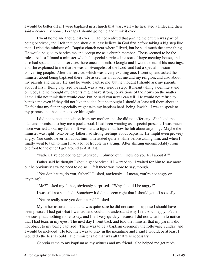I would be better off if I were baptized in a church that was, well – he hesitated a little, and then said – nearer my home. Perhaps I should go home and think it over.

I went home and thought it over. I had not realized that joining the church was part of being baptized, and I felt that one should at least believe in God first before taking a big step like that. I tried the minister of a Baptist church near where I lived, but he said much the same thing. He would be glad to baptize me and accept me as a church member. Those seemed to be the rules. At last I found a minister who held special services in a sort of large meeting house, and also had special baptism services there once a month. Georgia and I went to one of his meetings, and she explained to me that he was an Evangelist of the Lord, and had a special mission converting people. After the service, which was a very exciting one, I went up and asked the minister about being baptized there. He asked me all about me and my religion, and also about my parents and theirs. He said he would baptize me, but he thought I should ask my parents about if first. Being baptized, he said, was a very serious step. It meant taking a definite stand on God, and he thought my parents might have strong convictions of their own on the matter. I said I did not think they would care, but he said you never can tell. He would not refuse to baptize me even if they did not like the idea, but he thought I should at least tell them about it. He felt that my father especially might take my baptism hard, being Jewish. I was to speak to my parents and then come to see him again.

I did not expect opposition from my mother and she did not offer any. She liked the idea and promised to buy me a pocketbook I had been wanting as a special present. I was much more worried about my father. It was hard to figure out how he felt about anything. Maybe the minister was right. Maybe my father had strong feelings about baptism. He might even get very angry. You could never tell about him. I hesitated quite a while before asking him, and when I finally went to talk to him I had a lot of trouble in starting. After shifting uncomfortably from one foot to the other I got around to it at last.

"Father, I've decided to get baptized," I blurted out. "How do you feel about it?"

Father said he thought I should get baptized if I wanted to. I waited for him to say more, but he obviously saw no need to do so. I felt there was more to say, though.

"You don't care, do you, father?" I asked, anxiously. "I mean, you're not angry or anything?"

"Me?" asked my father, obviously surprised. "Why should I be angry?"

I was still not satisfied. Somehow it did not seem right that I should get off so easily.

"You're really sure you don't care?" I asked.

My father assured me that he was quite sure he did not care. I suppose I should have been please. I had got what I wanted, and could not understand why I felt so unhappy. Father obviously had nothing more to say, and I left very quickly because I did not what him to notice that I had tears in my eyes. The next day I went back and told the minister that my parents did not object to my being baptized. There was to be a baptism ceremony the following Sunday, and I would be included. He told me I was to pray in the meantime and I said I would, or at least I would do the best I could. The minister said that was all that was necessary.

Georgia came to my baptism as my witness and my friend. She helped me get ready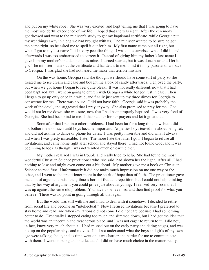and put on my white robe. She was very excited, and kept telling me that I was going to have the most wonderful experience of my life. I hoped that she was right. After the ceremony I got dressed and went to the minister's study to get my baptismal certificate, while Georgia put my wet things away in a bag we had brought with us. The minister wanted to be sure he got the name right, so he asked me to spell it out for him. My first name came out all right, but when I got to my last name I did a very peculiar thing. I was quite surprised when I did it, and afterwards I was too embarrassed to correct it. Instead of giving him my father's last name I gave him my mother's maiden name as mine. I turned scarlet, but it was done now and I let it go. The minister made out the certificate and handed it to me. I hid it in my purse and ran back to Georgia. I was glad she had not heard me make that terrible mistake.

On the way home, Georgia said she thought we should have some sort of party so she treated me to ice cream and cake and bought me a box of candy afterwards. I enjoyed the party, but when we got home I began to feel quite bleak. It was not really different, now that I had been baptized, but I went on going to church with Georgia a while longer, just in case. Then I began to go up only once in a while, and finally just sent up my three dimes for Georgia to consecrate for me. There was no use. I did not have faith. Georgia said it was probably the work of the devil, and suggested that I pray anyway. She also promised to pray for me. God would not let me down, she was sure, now that I had been properly baptized. I was very fond of Georgia. She had been kind to me. I thanked her for her prayers and let it go at that.

Soon after that I ran into other problems. I had been fat for a long time now, but it did not bother me too much until boys became important. At parties boys teased me about being fat, and did not ask me to dance or phone for dates. I was pretty miserable and did what I always did when I was pretty miserable. I ate. The more I ate the fatter I got. I began to refuse all invitations, and came home right after school and stayed there. I had not found God, and it was beginning to look as though I was not wanted much on earth either.

My mother realized I was in trouble and really tried to help. She had found the most wonderful Christian Science practitioner who, she said, had shown her the light. After all, I had nothing to lose and might even come out a bit ahead. My mother gave me a book on Christian Science to read first. Unfortunately it did not make much impression on me one way or the other, and I went to the practitioner more in the spirit of hope than of faith. The practitioner gave me a lot of arguments with the glibness born of frequent repetition, but I could not help thinking that by her way of argument you could prove just about anything. I realized very soon that I was up against the same old problem. You have to believe first and then find proof for what you believe. There was no point in going through all that again.

But the world was still with me and I had to deal with it somehow. I decided to retire from social life and become an "intellectual." Now I refused invitations because I preferred to stay home and read, and when invitations did not come I did not care because I had something better to do. Eventually I stopped eating too much and slimmed down, but I had got the idea that the world was an uncertain and treacherous place, and I was not eager to return to it. I did not, in fact, know very much about it. I had missed out on the early party and dating stages, and was not up on the popular plays and movies. I did not understand what the boys and girls of my own age were talking about, and as time went on it was harder and harder for me to communicate with them. I went on being an "intellectual." I did no have much choice in the matter, really.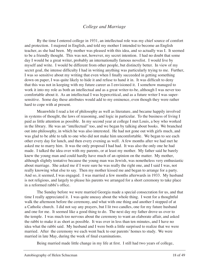#### *College and Marriage*

By the time I entered college in 1931, an intellectual role was my chief source of comfort and protection. I majored in English, and told my mother I intended to become an English teacher, as she had been. My mother was pleased with this idea, and so actually was I. It seemed to be a friendly thought. This was not, however, my secret intention. I had no doubt that some day I would be a great writer, probably an internationally famous novelist. I would live by myself and write. I would be different from other people, but distinctly better. In view of my secret goal, the intense difficulty I had in writing anything was particularly trying to me. Further, I was so sensitive about my writing that even when I finally succeeded in getting something down on paper, I was quite likely to hide it and refuse to hand it in. It was difficult to deny that this was not in keeping with my future career as I envisioned it. I somehow managed to work it into my role as both an intellectual and as a great writer-to-be, although I was never too comfortable about it. As an intellectual I was hypercritical, and as a future writer I was supersensitive. Some day these attributes would add to my eminence, even though they were rather hard to cope with at present.

Meanwhile I read a lot of philosophy as well as literature, and became happily involved in systems of thought, the laws of reasoning, and logic in particular. To the business of living I paid as little attention as possible. In my second year at college I met Louis, a boy who worked in the library. He was an "intellectual" too, and we began by talking about books. We branched out into philosophy, in which he was also interested. He had not gone out with girls much, and was glad to be able to talk to one who did not make him uncomfortable. We began to see each other every day for lunch, and then every evening as well. A few months after we had met he asked me to marry him. It was the only proposal I had had. It was also the only one he had made. I talked the idea over with my parents, or at least my mother. My father said he barely knew the young man and could hardly have much of an opinion on the matter. My mother, although slightly tentative because the young man was Jewish, was nonetheless very enthusiastic about marriage. She asked me if I were sure he was really the right one, and I said I was, not really knowing what else to say. Then my mother kissed me and began to arrange for a party. And so, it seemed, I was engaged. I was married a few months afterwards in 1933. My husband is not religious, and largely to please his parents we arranged for a short ceremony to take place in a reformed rabbi's office.

The Sunday before we were married Georgia made a special consecration for us, and that time I really appreciated it. I was quite uneasy about the whole thing. I went for a thoughtful walk the afternoon before the ceremony, and what with one thing and another I stopped of at a Catholic church. I did not say any prayers, but I lit two candles, one for my future husband and one for me. It seemed like a good thing to do. The next day my father drove us over to the temple. I was much too nervous about the ceremony to want an elaborate affair, and asked the rabbi to make it as short as possible. It was over in less than ten minutes, and I have no idea what the rabbi said. My husband and I were both a little surprised to realize that we were married. After the ceremony we each went back to our parents' homes to study. We were married in late May, during the week of final examinations.

Being married made little change in my life at first. I still had two years of college,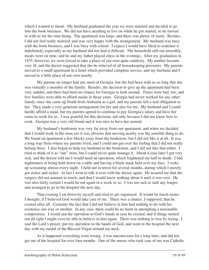which I wanted to finish. My husband graduated the year we were married and decided to go into the book business. We did not have anything to live on while he got started, so he moved in with us for the time being. The apartment was large, and there was plenty of room. Besides, I did not feel really married, and was very happy with the arrangement. My husband was busy with the book business, and I was busy with school. I expect I would have liked to continue it indefinitely, especially as my husband did not find it difficult. The household still ran smoothly, meals were on time, and he and my father played chess in the evenings. After my graduation in 1935, however, we were forced to take a place of our own quite suddenly. My mother became very ill, and the doctor suggested that she be relieved of all housekeeping pressures. My parents moved to a small apartment in a hotel which provided complete service, and my husband and I moved to a little place of our own nearby.

My parents no longer had any need of Georgia, but she had been with us so long that she was virtually a member of the family. Besides, the decision to give up the apartment had been very sudden, and there had been no chance for Georgia to look around. Times were bad, too, and few families were able to afford maids in those years. Georgia had never worked for any other family since she came up North from Alabama as a girl, and my parents felt a real obligation to her. They made a very generous arrangement for her and also for me. My husband and I could hardly afford a maid, but my parents agreed to continue to pay Georgia's salary and have her come to work for us. I was grateful for this decision, not only because I did not know how to cook. Georgia was a very old friend and it was nice to have her around.

My husband's bookstore was very far away from our apartment, and when we decided that I would work in the store too it was obvious that moving nearby was the sensible thing to do. We found an apartment a few blocks away from the bookstore, but I did not like it at all. It was a long way from where my parents lived, and I could not get over the feeling that I did not really belong there. I also began to help my husband in the bookstore, and I did not like that either. I tried to think of it as "our" store, but I could never quite manage it. About a year later I got very sick, and the doctor told me I would need an operation, which frightened me half to death. I had nightmares of being held down on a table and having a black mask held over my face. I woke up screaming almost every night. I held out in terror for several months, during which I merely got sicker and sicker. At last I went to talk it over with the doctor again. He assured me that the surgery did not amount to much, and that I would know nothing about it until it was over. He was also fairly certain I would be out again in a week or so. I was too sick to stall any longer, and arranged to go to the hospital the next day.

That evening I sat down by myself and tried to get organized. It would be much easier, I thought, if I believed God would take care of me. There was a chance, I supposed, that he existed after all. Certainly the fact that I did not believe in him had nothing to do with his existence one way or another. In any case, there could be no harm in attempting a reasonable compromise. I would put the operation in God's hands in case he existed, and if things turned out all right I might even be able to believe in him again. There was nothing to lose by trying. I said the Lord's prayer, put my operation in the hands of God, and went to the hospital the next day with my medal of the Blessed Virgin around my neck.

As it happened everything went wrong. I was unconscious for a long time, and did not get out of the hospital for over four months. One of the nurses who took care of me was Catholic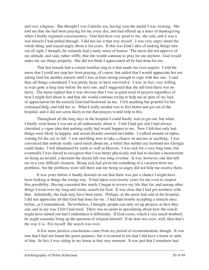and very religious. She thought I was Catholic too, having seen the medal I was wearing. She told me that she had been praying for me every day, and had offered up a mass of thanksgiving when I finally regained consciousness. God had been very good to me, she said, and it was a real miracle I had pulled through. I did not see it that way myself. I was very angry about the whole thing, and stayed angry about it for years. If this was God's idea of making things turn out all right, I thought, he certainly had a nasty sense of humor. The nurse did not approve of my attitude, and said, rather stiffly, that she would continue to pray for me anyhow. God would make me see things properly. She did not think I appreciated all he had done for me.

That last remark had a certain familiar ring to it that made me even angrier. I told the nurse that I could not stop her from praying, of course, but added that I would appreciate her not asking God for another miracle until I was at least strong enough to cope with this one. I said that, all things considered, I was pretty lucky to have survived it. I was, in fact, very willing to wait quite a long time before the next one, and I suggested that she tell God there was no hurry. The nurse replied that it was obvious that I was in great need of prayers regardless of how I might feel about it, and that she would continue trying to help me in spite of my lack of appreciation for the miracle God had bestowed on me. I felt anything but grateful for her continued help, and told her so. What I really needed was to feel better and get out of the hospital, and it did not seem likely to me that prayers would help in this.

Throughout all the long days in the hospital I could hardly wait to get out, but when I finally went home I was not at all enthusiastic about it. Until I had got sick I had always cherished a vague idea that nothing really bad would happen to me. Now I felt that only bad things were likely to happen, and actual disaster seemed inevitable. I walked around on tiptoe, waiting for the axe to fall. I was unwilling now to take a chance on anyone or anything. I was convinced that nobody really cared much about me, a belief that neither my husband nor Georgia could shake. I felt abandoned by earth as well as Heaven. I was sick for a very long time, but eventually I was forced to recognize that I was better physically and had to declare a moratorium on being an invalid, a decision the doctor felt was long overdue. It was, however, one that left me in a very difficult situation. Being sick had given me something of a vacation from my problems, but the problems were still there and my being so angry did not help me resolve them.

It was years before it finally dawned on me that there was just a chance I might have been looking at things the wrong way. It had taken over twenty years for me even to suspect this possibility. Having conceded this much, I began to review my life thus far, and among other things I went over my long and erratic search for God. It was clear that I had got nowhere with that. Admittedly, the fault may have been mine. Perhaps, as the nurse had said in the hospital, I did not appreciate all that God had done for me. I had had trouble accepting a miracle once before, as I remembered. Nevertheless, I thought, people can only set up projects as best they can, and in my way I felt I had tried. There was no point in speculating about how the search might have turned out had I undertaken it differently. If God exists, which I very much doubted, he might someday bring up the question of religion himself. If he does not exist, well, then that's the way it is. For myself, the search was over.

A few more positive conclusions came from my period of reconsideration, though. It was true that I had not found the green pastures, but it occurred to me that I did have a home in spite of that. In fact, I was sitting in my home at that very moment. It was just that I somehow had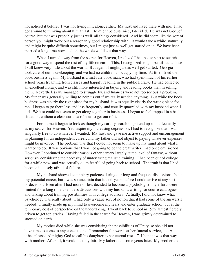not noticed it before. I was not living in it alone, either. My husband lived there with me. I had got around to thinking about him at last. He might be quite nice, I decided. He was not God, of course, but that was probably just as well, all things considered. And he did seem like the sort of person you might work out a reasonably good relationship with. It would take a while, naturally, and might be quite difficult sometimes, but I might just as well get started on it. We have been married a long time now, and on the whole we like it that way.

When I turned away from the search for Heaven, I realized I had better start to search for a good way to spend the rest of my life on earth. This, I recognized, might be difficult, since I still knew very little about the world. But again, I might just as well get started. Georgia took care of our housekeeping, and we had no children to occupy my time. At first I tried the book business again. My husband is a first-rate book man, who had spent much of his earlier school years truanting from classes and happily reading in the public library. He had collected an excellent library, and was still more interested in buying and reading books than in selling them. Nevertheless we managed to struggle by, and finances were not too serious a problem. My father was generally willing to help us out if we really needed anything. But while the book business was clearly the right place for my husband, it was equally clearly the wrong place for me. I began to go there less and less frequently, and usually quarreled with my husband when I did. We just could not seem to get along together in business. I began to feel trapped in a bad situation, without a clear-cut idea of how to get out of it.

For a time it began to look as though my earthly search might end up as ineffectually as my search for Heaven. Yet despite my increasing depression, I had to recognize that I was singularly free to do whatever I wanted. My husband gave me active support and encouragement in planning for an independent career, and my father did not object to paying whatever expenses might be involved. The problem was that I could not seem to make up my mind about what I wanted to do. It was obvious that I was not going to be the great writer I had once envisioned. However, I continued to consider various other careers largely at the level of fantasy, without seriously considering the necessity of undertaking realistic training. I had been out of college for a while now, and was actually quite fearful of going back to school. The truth is that I had become intensely afraid of failure.

My husband showed exemplary patience during our long and frequent discussions about my potential career, but I was so uncertain that it took years before I could arrive at any sort of decision. Even after I had more or less decided to become a psychologist, my efforts were limited for a long time to endless discussions with my husband, writing for course catalogues, and talking about training possibilities with college advisors. Actually, I did not know what psychology was really about. I had only a vague sort of notion that it had some of the answers I needed. I finally made up my mind to overcome my fears and enter graduate school, but at the temporary cost of perspective on the undertaking. I went back to school in 1952 almost fiercely driven to get top grades. Having failed in the search for Heaven, I was grimly determined to succeed on earth.

My mother died while she was considering the possibilities of Unity, so she did not have time to come to any conclusions. I remember the words at her funeral service, "... And it has pleased Almighty God to call his daughter to her eternal rest ..." I hope it was that way with mother. After all, it would be only fair. My father died some years later. My brother and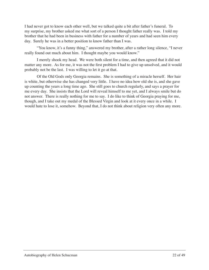I had never got to know each other well, but we talked quite a bit after father's funeral. To my surprise, my brother asked me what sort of a person I thought father really was. I told my brother that he had been in business with father for a number of years and had seen him every day. Surely he was in a better position to know father than I was.

"You know, it's a funny thing," answered my brother, after a rather long silence, "I never really found out much about him. I thought maybe you would know."

I merely shook my head. We were both silent for a time, and then agreed that it did not matter any more. As for me, it was not the first problem I had to give up unsolved, and it would probably not be the last. I was willing to let it go at that.

Of the Old Gods only Georgia remains. She is something of a miracle herself. Her hair is white, but otherwise she has changed very little. I have no idea how old she is, and she gave up counting the years a long time ago. She still goes to church regularly, and says a prayer for me every day. She insists that the Lord will reveal himself to me yet, and I always smile but do not answer. There is really nothing for me to say. I do like to think of Georgia praying for me, though, and I take out my medal of the Blessed Virgin and look at it every once in a while. I would hate to lose it, somehow. Beyond that, I do not think about religion very often any more.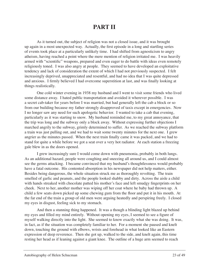# **PART II**

As it turned out, the subject of religion was not a closed issue, and it was brought up again in a most unexpected way. Actually, the first episode in a long and startling series of events took place at a particularly unlikely time. I had shifted from agnosticism to angry atheism, having reached a point where the mere mention of religion irritated me. I was heavily armed with "scientific" weapons, prepared and even eager to do battle with ideas even remotely religiously toned. I was also angry at people. They seemed to have developed an exploitative tendency and lack of consideration the extent of which I had not previously suspected. I felt increasingly deprived, unappreciated and resentful, and had no idea that I was quite depressed and anxious. I firmly believed I had overcome superstition at last, and was finally looking at things realistically.

One cold winter evening in 1938 my husband and I went to visit some friends who lived some distance away. I hated public transportation and avoided it wherever possible. I was a secret cab-taker for years before I was married, but had generally left the cab a block or so from our building because my father strongly disapproved of taxis except in emergencies. Now I no longer saw any need for such apologetic behavior. I wanted to take a cab that evening, particularly as it was starting to snow. My husband reminded me, to my great annoyance, that the trip was long and the subway only a block away. Without expressing further objections I marched angrily to the subway, grimly determined to suffer. As we reached the subway platform a train was just pulling out, and we had to wait some twenty minutes for the next one. I grew angrier as the minutes passed. When the next train finally came it was packed, and we had to stand for quite a while before we got a seat over a very hot radiator. At each station a freezing gale blew in as the doors opened.

I grew increasingly sure I would come down with pneumonia, probably in both lungs. As an additional hazard, people were coughing and sneezing all around us, and I could almost see the germs attacking. I became convinced that my husband's thoughtlessness would probably have a fatal outcome. His contented absorption in his newspaper did not help matters, either. Besides being dangerous, the whole situation struck me as thoroughly revolting. The train smelled of garlic and peanuts, and the people looked shabby and dirty. Across the aisle a child with hands streaked with chocolate patted his mother's face and left smudgy fingerprints on her cheek. Next to her, another mother was wiping off her coat where he baby had thrown up. A child a few seats down picked up some chewing gum from the floor and put it in his mouth. At the far end of the train a group of old men were arguing heatedly and perspiring freely. I closed my eyes in disgust, feeling sick to my stomach.

And then a stunning thing happened. It was a though a blinding light blazed up behind my eyes and filled my mind entirely. Without opening my eyes, I seemed to see a figure of myself walking directly into the light. She seemed to know exactly what she was doing. It was, in fact, as if the situation was completely familiar to her. For a moment she paused and knelt down, touching the ground with elbows, wrists and forehead in what looked like an Eastern expression of deep reverence. Then she got up, walked to the side, and knelt again, this time resting her head as if leaning against a giant knee. The outline of a huge arm seemed to reach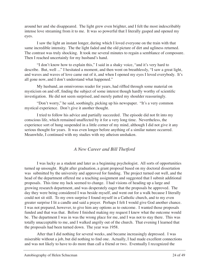around her and she disappeared. The light grew even brighter, and I felt the most indescribably intense love streaming from it to me. It was so powerful that I literally gasped and opened my eyes.

I saw the light an instant longer, during which I loved everyone on the train with that same incredible intensity. The the light faded and the old picture of dirt and ugliness returned. The contrast was truly shocking. It took me several minutes to regain a semblance of composure. Then I reached uncertainly for my husband's hand.

"I don't know how to explain this," I said in a shaky voice, "and it's very hard to describe. But, well ..." I hesitated a moment, and then went on breathlessly, "I saw a great light, and waves and waves of love came out of it, and when I opened my eyes I loved everybody. It's all gone now, and I don't understand what happened."

My husband, an omnivorous reader for years, had riffled through some material on mysticism on and off, finding the subject of some interest though hardly worthy of scientific investigation. He did not seem surprised, and merely patted my shoulder reassuringly.

"Don't worry," he said, soothingly, picking up his newspaper. "It's a very common mystical experience. Don't give it another thought.

I tried to follow his advice and partially succeeded. The episode did not fit into my conscious life, which remained unaffected by it for a very long time. Nevertheless, the experience sort of hung suspended in a little corner of my mind, although I did not give it any serious thought for years. It was even longer before anything of a similar nature occurred. Meanwhile, I continued with my studies with my atheism unshaken.

#### *A New Career and Bill Thetford*

I was lucky as a student and later as a beginning psychologist. All sorts of opportunities turned up unsought. Right after graduation, a grant proposal based on my doctoral dissertation was submitted by the university and approved for funding. The project turned out well, and the head of the department offered me a teaching assignment and suggested that I submit additional proposals. This time my luck seemed to change. I had visions of heading up a large and growing research department, and was desperately eager that the proposals be approved. The day they were being considered I was beside myself, and went out for a walk because I literally could not sit still. To my own surprise I found myself in a Catholic church, and to my even greater surprise I lit a candle and said a prayer. Perhaps I felt I would give God another chance. I was not prepared, however, to give him any options as to outcome. I wanted those proposals funded and that was that. Before I finished making my request I knew what the outcome would be. The department I was in was the wrong place for me, and I was not to stay there. This was totally unacceptable to me, and I walked angrily out of the church. That evening I learned that the proposals had been turned down. The year was 1958.

After that I did nothing for several weeks, and became increasingly depressed. I was miserable without a job, but did nothing to find one. Actually, I had made excellent connections and was not likely to have to do more than call a friend or two. Eventually I recognized the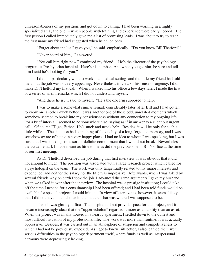unreasonableness of my position, and got down to calling. I had been working in a highly specialized area, and one in which people with training and experience were badly needed. The first person I called immediately gave me a list of promising leads. I was about to try to reach the first name my friend had suggested when he called back.

"Forget about the list I gave you," he said, emphatically. "Do you know Bill Thetford?"

"Never heard of him," I answered.

"You call him right now," continued my friend. "He's the director of the psychology program at Presbyterian hospital. Here's his number. And when you get him, be sure and tell him I said he's looking for you."

I did not particularly want to work in a medical setting, and the little my friend had told me about the job was not very appealing. Nevertheless, in view of his sense of urgency, I did make Dr. Thetford my first call. When I walked into his office a few days later, I made the first of a series of silent remarks which I did not understand myself.

"And there he is," I said to myself. "He's the one I'm supposed to help."

I was to make a somewhat similar remark considerably later, after Bill and I had gotten to know one another much better. It was another one of those odd, unrelated moments which somehow seemed to break into my consciousness without any connection to my ongoing life. For a brief interval I seemed to be somewhere else, saying as if in answer to a silent but urgent call, "Of course I'll go, Father. He's stuck and needs help. Besides, it will be only for such a little while!" The situation had something of the quality of a long-forgotten memory, and I was somehow aware of being in a very happy place. I had no idea to whom I was speaking, but I was sure that I was making some sort of definite commitment that I would not break. Nevertheless, the actual remark I made meant as little to me as did the previous one in Bill's office at the time of our first meeting.

As Dr. Thetford described the job during that first interview, it was obvious that it did not amount to much. The position was associated with a large research project which called for a psychologist on the team. The work was only tangentially related to my major interests and experience, and neither the salary nor the title was impressive. Afterwards, when I was asked by several friends why on earth I took the job, I advanced the same arguments I gave my husband when we talked it over after the interview. The hospital was a prestige institution; I could take off the time I needed for a consultantship I had been offered; and I had been told funds would be available for special projects I could initiate. In view of later events, however, it seems likely that I did not have much choice in the matter. That was where I was supposed to be.

The job was ghastly at first. The hospital did not provide space for the project, and it became increasingly clear that the "upper echelon" regarded it more as a liability than an asset. When the project was finally housed in a nearby apartment, I settled down to the dullest and most difficult situation of my professional life. The work was more than routine; it was actually oppressive. Besides, it was carried out in an atmosphere of suspicion and competitiveness to which I had not be previously exposed. As I got to know Bill better, I also learned there were serious difficulties in the psychology department itself, where funds as well as interpersonal harmony were depressingly lacking.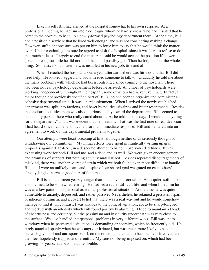Like myself, Bill had arrived at the hospital somewhat to his own surprise. At a professional meeting he had run into a colleague whom he hardly knew, who had insisted that he come to the hospital to head up a newly-formed psychology department there. At the time, Bill had a position elsewhere that he liked well enough, and was not considering making a change. However, sufficient pressure was put on him to force him to say that he would think the matter over. Under continuing pressure he agreed to visit the hospital, since it was hard to refuse to do that much at least. Largely to end the matter, he said he would accept the position if he were given a prestigious title he did not think he could possibly get. Then he forgot about the whole thing. Some six months later he was installed in his new job, title and all.

When I reached the hospital about a year afterwards there was little doubt that Bill did need help. He looked haggard and badly needed someone to talk to. Gradually he told me about the many problems with which he had been confronted since coming to the hospital. There had been no real psychology department before he arrived. A number of psychologists were working independently throughout the hospital, some of whom had never even met. In fact, a major though not previously specified part of Bill's job had been to organize and administer a cohesive departmental unit. It was a hard assignment. When I arrived the newly established department was split into factions, and beset by political rivalries and bitter resentments. Besides the obvious hostilities there was also a curious apathy toward the department. Bill seemed to be the only person there who really cared about it. As he told me one day, "I would do anything for the department," and it was evident that he meant it. That was the first note of real devotion I had heard since I came, and it called forth an immediate response. Bill and I entered into an agreement to work out the departmental problems together.

Our attempts were heart-breaking at first, although neither of us seriously thought of withdrawing our commitment. My initial efforts were spent in frantically writing up grant proposals against dead-lines, in a desperate attempt to bring in badly-needed funds. It was exhausting work for both Bill and me, and a dead end as well. We were given encouragement and promises of support, but nothing actually materialized. Besides repeated discouragements of this kind, there was another source of strain which we both found even more difficult to handle. Bill and I were an unlikely team, and in spite of our shared goal we grated on each others's already jangled nerves a good part of the time.

Bill is some thirteen years younger than I, and over a foot taller. He is quiet, soft-spoken, and inclined to be somewhat retiring. He had led a rather difficult life, and when I met him he was at a low point in his personal as well as professional situation. At the time he was quite vulnerable to anxiety, depressed, and rather passive. Nevertheless he retained a persistent spark of inherent optimism, and a covert belief that there was a real way out and he would somehow manage to find it. In contrast, I was anxious to the point of agitation, apt to be sharp-tongued, and worked with an intensity which Bill found positively alarming. I tried to maintain a facade of cheerfulness and certainty, but the pessimism and insecurity underneath was very close to the surface. We also handled interpersonal problems in very different ways. Bill was apt to withdraw when he perceived a situation as demanding or coercive, which he frequently did. He rarely attacked openly when he was angry or irritated, but was much more likely to become increasingly aloof and unresponsive. I, on the other hand, tended to become over-involved and then feel hopelessly trapped and resentful. My sense of being imposed on, which had been growing for years, had become quite sizable.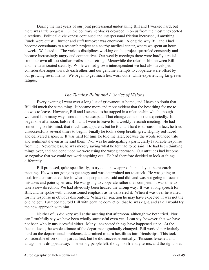During the first years of our joint professional undertaking Bill and I worked hard, but there was little progress. On the contrary, set-backs crowded in on us from the most unexpected directions. Political divisiveness continued and interpersonal friction increased, if anything. Funds were cut still further and staff turnover was enormous. Along the way Bill and I had become consultants to a research project at a nearby medical center, where we spent an hour a week. We hated it. The various disciplines working on the project quarreled constantly and became increasingly angry and competitive. Our weekly meetings there were hardly a relief from our own all-too-similar professional setting. Meanwhile the relationship between Bill and me deteriorated steadily. While we had grown interdependent we had also developed considerable anger towards each other, and our genuine attempts to cooperate were offset by our growing resentments. We began to get much less work done, while experiencing far greater fatigue.

#### *The Turning Point and A Series of Visions*

Every evening I went over a long list of grievances at home, and I have no doubt that Bill did much the same thing. It became more and more evident that the best thing for me to do was to leave. However, Bill and I seemed to be trapped in a relationship which, though we hated it in many ways, could not be escaped. That change came most unexpectedly. It began one afternoon, before Bill and I were to leave for a weekly research meeting. He had something on his mind, that much was apparent, but he found it hard to discuss. In fact, he tried unsuccessfully several times to begin. Finally he took a deep breath, grew slightly red-faced, and delivered a speech. It was hard for him, he told me later, because the words sounded trite and sentimental even as he said them. Nor was he anticipating a particularly favorable response from me. Nevertheless, he was merely saying what he felt had to be said. He had been thinking things over, and had concluded we were using the wrong approach. Our attitudes had become so negative that we could not work anything out. He had therefore decided to look at things differently.

Bill proposed, quite specifically, to try out a new approach that day at the research meeting. He was not going to get angry and was determined not to attack. He was going to look for a constructive side in what the people there said and did, and was not going to focus on mistakes and point up errors. He was going to cooperate rather than compete. It was time to take a new direction. We had obviously been headed the wrong way. It was a long speech for Bill, and he spoke with unaccustomed emphasis as he delivered it. When it was over he waited for my response in obvious discomfort. Whatever reaction he may have expected, it was not the one he got. I jumped up, told Bill with genuine conviction that he was right, and said I would try the new approach with him.

Neither of us did very well at the meeting that afternoon, although we both tried. Nor can I truthfully say we have been wholly successful even yet. I can say, however, that we have not been wholly unsuccessful either. Many unexpected things have happened since. At the factual level, the whole climate of the department gradually changed. Bill worked particularly hard on the departmental problems, determined to turn hostilities into friendships. This took considerable effort on his part at first, but he did succeed eventually. Tensions lessened and antagonisms dropped away. The wrong people left, though on friendly terms, and the right ones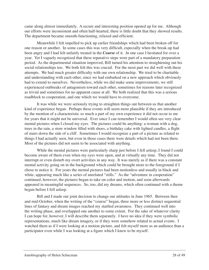came along almost immediately. A secure and interesting position opened up for me. Although our efforts were inconsistent and often half-hearted, there is little doubt that they showed results. The department became smooth-functioning, relaxed and efficient.

Meanwhile I felt impelled to pick up earlier friendships which had been broken off for one reason or another. In some cases this was very difficult, especially when the break-up had been angry and I had felt unfairly treated in the *Course* of it. In one case I hesitated for over a year. Yet I vaguely recognized that these reparative steps were part of a mandatory preparation period. As the departmental situation improved, Bill turned his attention to straightening out his social relationships too. We both felt this was crucial. For the most part we did well with these attempts. We had much greater difficulty with our own relationship. We tried to be charitable and understanding with each other, since we had embarked on a new approach which obviously had to extend to ourselves. Nevertheless, while we did make some improvements, we still experienced outbreaks of antagonism toward each other, sometimes for reasons later recognized as trivial and sometimes for no apparent cause at all. We both realized that this was a serious roadblock to cooperation, and one which we would have to overcome.

It was while we were seriously trying to straighten things out between us that another kind of experience began. Perhaps these events will seem more plausible if they are introduced by the mention of a characteristic so much a part of my own experience it did not occur to me for years that it might not be universal. Ever since I can remember I would often see very clear mental pictures when I closed my eyes. The pictures could be anything: a woman with a dog, trees in the rain, a store window filled with shoes, a birthday cake with lighted candles, a flight of stairs down the side of a cliff. Sometimes I would recognize a part of a picture as related to things I had actually seen, but even in those cases there were details which had not been there. Most of the pictures did not seem to be associated with anything.

While the mental pictures were particularly sharp just before I fell asleep, I found I could become aware of them even when my eyes were open, and at virtually any time. They did not interrupt or even disturb my overt activities in any way. It was merely as if there was a constant mental activity going on in the background which could be brought more to the foreground if I chose to notice it. For years the mental pictures had been motionless and usually in black and white, appearing much like a series of unrelated "stills." As the "adventure in cooperation" continued, however, the pictures began to take on color and motion, and soon afterwards appeared in meaningful sequences. So, too, did my dreams, which often continued with a theme begun before I fell asleep.

Bill and I made our joint decision to change our attitudes in June 1965. Between then and mid-October, when the writing of the "course" began, three more or less distinct sequential lines of fantasy and dream images reached my startled awareness. They continued well into the writing phase, and overlapped one another to some extent. For the sake of whatever clarity I can hope for, however, I will describe them separately. I have no idea if they were symbolic representations, much like dream imagery, or if they were somehow related to actual events. I watched them as if I were looking at a motion picture, and felt myself more as an audience than a participator even while I was looking at a figure which I knew to be myself.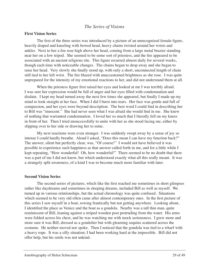#### *The Series of Visions*

#### **First Vision Series**

The first of the three series was introduced by a picture of an unrecognized female figure, heavily draped and kneeling with bowed head, heavy chains twisted around her wrists and ankles. Next to her a fire rose high above her head, coming from a large metal brazier standing near her on a low tripod. She seemed to be some sort of priestess, and the fire appeared to be associated with an ancient religious rite. This figure recurred almost daily for several weeks, though each time with noticeable changes. The chains began to drop away and she began to raise her head. Very slowly she finally stood up, with only a short, unconnected length of chain still tied to her left wrist. The fire blazed with unaccustomed brightness as she rose. I was quite unprepared for the intensity of my emotional reactions to her, and did not understand them at all.

When the priestess figure first raised her eyes and looked at me I was terribly afraid. I was sure her expression would be full of anger and her eyes filled with condemnation and disdain. I kept my head turned away the next few times she appeared, but finally I made up my mind to look straight at her face. When I did I burst into tears. Her face was gentle and full of compassion, and her eyes were beyond description. The best word I could find in describing her to Bill was "innocent." She had never seen what I was afraid she would find in me. She knew of nothing that warranted condemnation. I loved her so much that I literally fell on my knees in front of her. Then I tried unsuccessfully to unite with her as she stood facing me, either by slipping over to her side or drawing her to mine.

My next reactions were even stranger. I was suddenly swept away by a sense of joy so intense I could hardly breathe. Aloud I asked, "Does this mean I can have my function back?" The answer, silent but perfectly clear, was, "Of course!" I would not have believed it was possible to experience such happiness as that answer called forth in me, and for a little while I kept repeating, "How wonderful! Oh, how wonderful!" There seemed to be no doubt that there was a part of me I did not know, but which understood exactly what all this really meant. It was a strangely split awareness, of a kind I was to become much more familiar with later.

#### **Second Vision Series**

The second series of pictures, which like the first reached me sometimes in short glimpses rather like daydreams and sometimes in sleeping dreams, included Bill as well as myself. We turned up in various relationships, but the actual chronology was quite confused. Situations which seemed to be very old often came after almost contemporary ones. In the first picture of this series I saw myself in a boat, rowing frantically but not getting anywhere. Looking about, I identified the place as Venice and the boat as a gondola. Nearby was a tall thin man, quite reminiscent of Bill, leaning against a striped wooden post protruding from the water. His arms were folded across his chest, and he was watching me with mock seriousness. I grew more and more sure it was Bill, dressed as a gondolier but with gleaming sequins scattered across the costume. He neither moved nor spoke. Then I noticed that the gondola was tied to a wharf with a heavy rope. It was a silly situation; I had been working hard at the impossible. Bill did not offer help, but his smile was not unkind.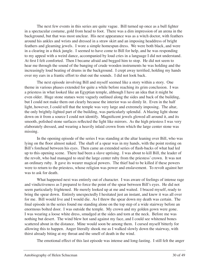The next few events in this series are quite vague. Bill turned up once as a bull fighter in a spectacular costume, gold from head to foot. There was a dim impression of an arena in the background, but that was most unclear. His next appearance was as a witch doctor, with feathers around his ankles and wrists and dressed in a straw skirt and an imposing headdress of bright feathers and gleaming jewels. I wore a simple homespun dress. We were both black, and were in a clearing in a thick jungle. I seemed to have come to Bill for help, and he was responding to my appeal with a weird dance, accompanied by loud cries in a language I did not understand. At first I felt comforted. Then I became afraid and begged him to stop. He did not seem to hear me through the sound of the banging of crude wooden instruments he was holding and the increasingly loud beating of drums in the background. I crept away terrified, holding my hands over my ears in a frantic effort to shut out the sounds. I did not look back.

The next episode involving Bill and myself seemed like a story within a story. One theme in various phases extended for quite a while before reaching its grim conclusion. I was a priestess in what looked like an Egyptian temple, although I have an idea that it might be even older. Huge stone statues were vaguely outlined along the sides and back of the building, but I could not make them out clearly because the interior was so dimly lit. Even in the half light, however, I could tell that the temple was very large and extremely imposing. The altar, the only brightly-lighted part of the building, was particularly splendid. A blazing light shone down on it from a source I could not identify. Magnificent jewels glowed all around it, and its smooth, polished stone surfaces reflected the light like mirrors. As the high priestess I was very elaborately dressed, and wearing a heavily inlaid crown from which the large center stone was missing.

In the opening episode of the series I was standing at the altar leaning over Bill, who was lying on the floor almost naked. The shaft of a spear was in my hands, with the point resting on Bill's forehead between his eyes. Then came an extended series of flash-backs of what had led up to this opening scene. There had been a slave uprising. I was about to kill Bill, the leader of the revolt, who had managed to steal the large center ruby from the priestess' crown. It was not an ordinary ruby. It gave its wearer magical powers. The thief had to be killed if these powers were to return to the priestess, whose religion was power and enslavement. To revolt against her was to ask for death.

What happened next was entirely out of character. I was aware of feelings of intense rage and vindictiveness as I prepared to force the point of the spear between Bill's eyes. He did not seem particularly frightened. He merely looked up at me and waited. I braced myself, ready to bring the spear down. Entirely unexpectedly I hesitated just an instant, and knew it was all over for me. Bill would live and I would die. As I threw the spear down my death was certain. The final episode in the series found me standing alone on the top step of a wide stairway before an enormous bolted door. I was outside the temple. My crown and my golden gown were gone. I was wearing a loose white dress, smudged at the sides and torn at the neck. Before me was nothing but desert. The wind blew hot sand against my face, and I could see whitened bones scattered about in the distance. Mine would soon be among them. I cursed myself bitterly for allowing this to happen. Anger literally shook me as I walked slowly down the stairway, with thirst already biting at my throat and the smell of death in the wind.

The emotional effect of this last episode was intense and long-lasting. I still felt the anger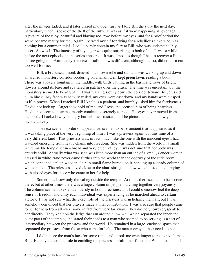after the images faded, and it later blazed into open fury as I told Bill the story the next day, particularly when I spoke of the theft of the ruby. It was as if it were happening all over again. A picture of the ruby, beautiful and blazing red, rose before my eyes, and for a brief period the scene became reality for me. Again I berated myself for dying for a rebellious slave who was nothing but a common thief. I could barely contain my fury at Bill, who was understandably upset. So was I. The intensity of my anger was quite surprising to both of us. It was a while before the next episodes in the series appeared. It was almost as though I had to recover a little before going on. Fortunately, the next installment was different, although it, too, did not turn out too well for me.

Bill, a Franciscan monk dressed in a brown robe and sandals, was walking up and down an arched monastery corridor bordering on a small, well-kept green lawn, reading a book. There was a lovely fountain in the middle, with birds bathing in the basin and rows of bright flowers around its base and scattered in patches over the grass. The time was uncertain, but the monastery seemed to be in Spain. I was walking slowly down the corridor toward Bill, dressed all in black. My face was heavily veiled, my eyes were cast down, and my hands were clasped as if in prayer. When I reached Bill I knelt as a penitent, and humbly asked him for forgiveness. He did not look up. Anger took hold of me, and I rose and accused him of being heartless. He did not seem to hear me, merely continuing serenely to read. His eyes never moved from the book. I backed away in angry but helpless frustration. The picture faded out slowly and inconclusively.

The next scene, in order of appearance, seemed to be so ancient that it appeared as if it was taking place at the very beginning of time. I was a priestess again, but this time of a very different kind. This priestess was, in fact, much like the one with the innocent eyes I had watched emerging from heavy chains into freedom. She was hidden from the world in a small white marble temple set in a broad and very green valley. I was not sure that her body was entirely solid. Actually what was seen was little more than an outline of a small, slender woman dressed in white, who never came further into the world than the doorway of the little room which contained a plain wooden altar. A small flame burned on it, sending up a steady column of white smoke. The priestess stayed close to the altar, sitting on a low wooden stool and praying with closed eyes for those who came to her for help.

Sometimes I saw only the valley outside the temple. At times there seemed to be no-one there, but at other times there was a huge column of people marching together very joyously. The column seemed to extend endlessly in both directions, and I could somehow feel the deep sense of freedom and unity each individual was experiencing as he marched ahead to certain victory. I was not sure what the exact role of the priestess was in helping them all, but I was somehow convinced that her prayers made a vital contribution. I was also sure that people came to her for help from all over; some in fact from very far away. They did not, however, speak to her directly. They knelt on the ledge that ran around a low wall which separated the inner and outer parts of the temple, and stated their needs to a man who seemed to be serving as a sort of intermediary between the priestess and the world. He remained in a large, enclosed space that separated the priestess from those who came for help. The man conveyed their needs to her.

I did not see the man's face for some time, and it took me even longer to recognize him as Bill. He played a crucial role in enabling the priestess to fulfill her function. When people told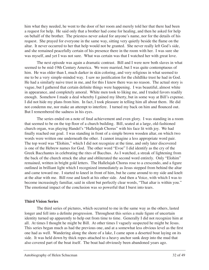him what they needed, he went to the door of her room and merely told her that there had been a request for help. He said only that a brother had come for healing, and then he asked for help on behalf of the brother. The priestess never asked for anyone's name, nor for the details of his request. She prayed for everyone in the same way, sitting very quietly beside the flame on the altar. It never occurred to her that help would not be granted. She never really left God's side, and she remained peacefully certain of his presence there in the room with her. I was sure she was myself, and yet I was not sure. What was certain was that I watched her with great love.

The next episode was again a dramatic contrast. Bill and I were now both slaves in what seemed to be mid-19th Century America. We were married, but I was quite contemptuous of him. He was older than I, much darker in skin coloring, and very religious in what seemed to me to be a very simple-minded way. I saw no justification for the childlike trust he had in God. He had a similarly naive trust in me, and for this I knew there was no reason. The actual story is vague, but I gathered that certain definite things were happening. I was beautiful, almost white in appearance, and completely amoral. White men took to liking me, and I traded favors readily enough. Somehow I made a deal whereby I gained my liberty, but in some way at Bill's expense. I did not hide my plans from him. In fact, I took pleasure in telling him all about them. He did not condemn me, nor make an attempt to interfere. I turned my back on him and flounced out. But I remembered the sadness in his eyes.

The series ended on a note of final achievement and even glory. I was standing in a room that seemed to be on the top floor of a church building. Bill, seated at a large, old-fashioned church organ, was playing Handel's "Hallelujah Chorus" with his face lit with joy. We had finally reached our goal. I was standing in front of a simple brown wooden altar, on which two words were written one underneath the other. I cannot imagine a less appropriate word pair. The top word was "Elohim," which I did not recognize at the time, and only later discovered is one of the Hebrew names for God. The other word "Evoe" I did identify as the cry of the Greek Bacchantes in celebrating the rites of Bacchus. As I watched, a streak of lightening from the back of the church struck the altar and obliterated the second word entirely. Only "Elohim" remained, written in bright gold letters. The Hallelujah Chorus rose to a crescendo, and a figure outlined in brilliant light which I recognized immediately as Jesus stepped from behind the altar and came toward me. I started to kneel in front of him, but he came around to my side and knelt at the altar with me. Bill rose and knelt at his other side. And then a Voice, with which I was to become increasingly familiar, said in silent but perfectly clear words, "That altar is within you." The emotional impact of the conclusion was so powerful that I burst into tears.

#### **Third Vision Series**

The third series of pictures, which occurred to me in the same way as the others, lasted longer and fell into a definite progression. Throughout this series a male figure of uncertain identity turned up apparently to help out from time to time. Generally I did not recognize him at all. At times I thought he might be Bill. At other times I vaguely suspected he might be Jesus. This series began much as had the previous one, and at a somewhat less obvious level as the first one had as well. Wandering along the shore of a lake, I came upon a deserted boat laying on its side. It was held down by thick ropes attached to a heavy anchor sunk deep into the mud that also covered part of the boat itself. The boat had obviously been abandoned years ago.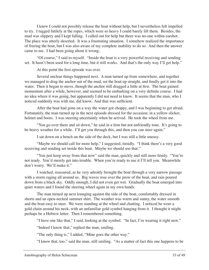I knew I could not possibly release the boat without help, but I nevertheless felt impelled to try. I tugged futilely at the ropes, which were so heavy I could barely lift them. Besides, the mud was slippery and I kept falling. I called out for help but there was no-one within earshot. The place was utterly deserted. It was a frustrating situation. I somehow realized the importance of freeing the boat, but I was also aware of my complete inability to do so. And then the answer came to me. I had been going about it wrong.

"Of course," I said to myself. "Inside the boat is a very powerful receiving and sending set. It hasn't been used for a long time, but it still works. And that's the only way I'll get help."

At this point the first episode was over.

Several unclear things happened next. A man turned up from somewhere, and together we managed to drag the anchor out of the mud, set the boat up straight, and finally get it into the water. Then it began to move, though the anchor still dragged a little at first. The boat gained momentum after a while, however, and seemed to be embarking on a very definite course. I had no idea where it was going, but apparently I did not need to know. It seems that the man, who I noticed suddenly was with me, did know, And that was sufficient.

After the boat had gone on a way the water got choppy, and I was beginning to get afraid. Fortunately, the man turned up in the next episode dressed for the occasion; in a yellow slicker, helmet and boots. I was steering uncertainly when he arrived. He took the wheel from me.

"You go over there and sit down," he said in a firm but not unfriendly tone. It's going to be heavy weather for a while. I'll get you through this, and then you can steer again."

I sat down on a bench on the side of the deck, but I was still a little uneasy.

"Maybe we should call for more help," I suggested, timidly. "I think there's a very good receiving and sending set inside this boat. Maybe we should use that."

"You just keep away from that now" said the man, quickly and still more firmly. "You're not ready. You'd merely get into trouble. When you're ready to use it I'll tell you. Meanwhile don't worry. We'll make it."

I watched, reassured, as he very adroitly brought the boat through a very narrow passage with a storm raging all around us. Big waves rose over the prow of the boat, and rain poured down from a black sky. Oddly enough, I did not even get wet. Gradually the boat emerged into quiet waters and I found the steering wheel again in my own hands.

The man turned up next lounging against the side of the boat, comfortably dressed in shorts and an open-necked summer shirt. The weather was warm and sunny, the water smooth and the boat easy to steer. We were standing at the wheel and chatting. I noticed he wore a gold chain around his neck, with an unfamiliar gold symbol hanging from it. I thought it might perhaps be a Hebrew letter. Then I remembered something.

"I have one like that," I said, looking at the symbol. "In fact, I'm wearing it right now."

"Indeed I know that," replied the man, smiling.

"The only thing is," I added, "Mine goes the other way."

"I know that, too," said the man, still smiling. "As a matter of fact this one happens to be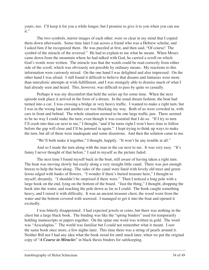yours, too. I'll keep it for you a while longer, but I promise to give it to you when you can use it."

The two symbols, mirror images of each other, were so clear in my mind that I copied them down afterwards. Some time later I ran across a friend who was a Hebrew scholar, and I asked him if he recognized them. He was puzzled at first, and then said, "Of course! The symbol of the miracle of the reversal." He had to explain to me what he meant. When Moses came down from the mountain where he had talked with God, he carried a scroll on which God's words were written. The miracle was that the words could be read correctly from either side of the scroll, which was obviously not possible by ordinary means. My reactions to this information were curiously mixed. On the one hand I was delighted and also impressed. On the other hand I was afraid. I still found it difficult to believe that dreams and fantasies were more than unrealistic attempts at wish-fulfillment, and I was strangely able to dismiss much of what I had already seen and heard. This, however, was difficult to pass by quite so casually.

Perhaps it was my discomfort that held the series up for some time. When the next episode took place it arrived in the form of a dream. In the usual dream fashion, the boat had turned into a car. I was crossing a bridge in very heavy traffic. I wanted to make a right turn, but I was in the wrong lane and another car was blocking my way. Both of us were crowded in, with cars in front and behind. The whole situation seemed to be one large traffic jam. There seemed to be no way I could make the turn, even though it was essential that I do so. "If I try to turn I'll crash into that car next to me," I thought, "and if he turns right I won't have time to follow before the gap will close and I'll be jammed in again." I kept trying to think up ways to make the turn, but all of them were inadequate and some disastrous. And then the solution came to me.

"We'll both make it together," I thought, happily. "It won't be any trouble at all."

And so I made the turn along with the man in the car next to me. It was very easy. "It's funny I never thought of that before," I said to myself as the picture faded.

The next time I found myself back in the boat, still aware of having taken a right turn. The boat was moving slowly but easily along a very straight little canal. There was just enough breeze to help the boat along. The sides of the canal were lined with lovely old trees and green lawns edged with banks of flowers. "I wonder if there's buried treasure here," I thought to myself, dreamily. "I shouldn't be surprised if there were." Then I noticed a long pole with a large hook on the end, lying on the bottom of the board. "Just the thing," I thought, dropping the hook into the water, and reaching the pole down as far as I could. The hook caught something heavy, and I raised it with difficulty. It was an ancient treasure chest, the wood worn from the water and the bottom covered with seaweed. I managed to get it into the boat and opened it excitedly.

I was bitterly disappointed. I had expected jewels or coins, but there was nothing in the chest but a large black book. The binding was like the "spring binders" used for temporarily holding manuscripts or papers together. On the spine one word was written in gold. The word was "Aesculapius." The world was familiar but I could not remember what it meant. I saw the same book once more, a few nights later. This time there was a string of pearls around it. Neither Bill nor I had any idea what the book stood for until much later, when we put the original copy of "*A Course in Miracles*" in black thesis binders for safekeeping.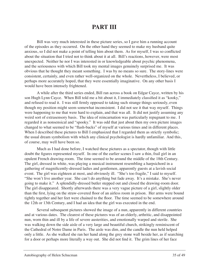# **PART III**

Bill was very much interested in these picture series, so I gave him a running account of the episodes as they occurred. On the other hand they seemed to make my husband quite anxious, so I did not make a point of telling him about them. As for myself, I was so conflicted about the situation that I tried not to think about it at all. Bill's reactions, however, were most unexpected. Neither he nor I was interested in or knowledgeable about psychic phenomena, and the seriousness with which Bill took my mental images genuinely surprised me. It was obvious that he thought they meant something. I was by no means so sure. The story-lines were consistent, certainly, and even rather well-organized on the whole. Nevertheless, I believed, or perhaps more accurately hoped, that they were essentially imaginative. On any other basis I would have been intensely frightened.

A while after the third series ended, Bill ran across a book on Edgar Cayce, written by his son Hugh Lynn Cayce. When Bill told me a bit about it, I immediately classified it as "kooky," and refused to read it. I was still firmly opposed to taking such strange things seriously, even though my position might seem somewhat inconsistent. I did not see it that way myself. Things were happening to me that were hard to explain, and that was all. It did not justify assuming any weird sort of extrasensory basis. The idea of reincarnation was particularly repugnant to me. I regarded it as nonsensical and "spooky." It was odd that just about then my own picture images changed to what seemed to be "flash-backs" of myself at various times and in different places. When I described these pictures to Bill I emphasized that I regarded them as strictly symbolic; the usual dream symbolism with which any clinical psychologist is hardly unfamiliar. And this, of course, may well have been so.

Much as I had done before, I watched these pictures as a spectator, though with little doubt the figures represented myself. In one of the earlier scenes I saw a thin, frail girl in an opulent French drawing-room. The time seemed to be around the middle of the 18th Century. The girl, dressed in white, was playing a musical instrument resembling a harpsichord in a gathering of magnificently-dressed ladies and gentlemen, apparently guests at a lavish social event. The girl was eighteen at most, and obviously ill. "She's too fragile," I said to myself. "She won't live another year. She can't do anything but fade away. It's a mistake. She's never going to make it." A splendidly-dressed butler stepped out and closed the drawing-room door. The girl disappeared. Shortly afterwards there was a very vague picture of a girl, slightly older than the first, lying on the straw-covered floor of an airless room in prison. Her arms were bound tightly together and her feet were chained to the floor. The time seemed to be somewhere around the 12th or 13th Century, and I had an idea that the girl was executed in the end.

Several subsequent pictures showed the image of a nun, apparently in different countries and at various dates. The clearest of these pictures was of an elderly, arthritic, and disappointed nun, worn thin and ill by a life of severe austerities, and emotionally warped and sterile. She was walking down the side aisle of a very large and beautiful church, strikingly reminiscent of the Cathedral of Notre Dame in Paris. The aisle was dim, and the candle the nun held helped only a little. As she walked she ran her hand along the grey stone wall beside her, as if searching for a door or perhaps more literally a way out. She did not find it. The grim lines of her face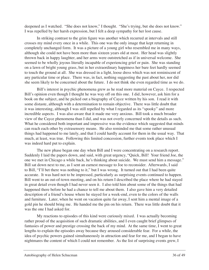deepened as I watched. "She does not know," I thought. "She's trying, but she does not know." I was repelled by her harsh expression, but I felt a deep sympathy for her lost cause.

In striking contrast to the grim figure was another which recurred at intervals and still crosses my mind every once in a while. This one was the only image that kept returning in completely unchanged form. It was a picture of a young girl who resembled me in many ways, although she could not have been more than sixteen years old at most. Her head was slightly thrown back in happy laughter, and her arms were outstretched as if in universal welcome. She seemed to be wholly joyous literally incapable of experiencing grief or pain. She was standing on a lawn of bright young grass, but in her extraordinary happiness her bare feet hardly seemed to touch the ground at all. She was dressed in a light, loose dress which was not reminiscent of any particular time or place. There was, in fact, nothing suggesting the past about her, nor did she seem likely to be concerned about the future. I do not think she even regarded time as we do.

Bill's interest in psychic phenomena grew as he read more material on Cayce. I respected Bill's opinion even though I thought he was way off on this one. I did, however, ask him for a book on the subject, and he picked out a biography of Cayce written by his son. I read it with some distaste, although with a determination to remain objective. There was little doubt that it was interesting, although I was still repelled by what I regarded as its "spooky" and more incredible aspects. I was also aware that it made me very anxious. Bill took a much broader view of the Cayce phenomena than I did, and was not overly concerned with the details as such. What he considered both important and impressive was the evidence which suggested that minds can reach each other by extrasensory means. He also reminded me that some rather unusual things had happened to me lately, and that I could hardly account for them in the usual way. That much, at least, was true. Following this limited concession, further events took place which I was indeed hard put to explain.

The new phase began one day when Bill and I were concentrating on a research report. Suddenly I laid the papers down, and said, with great urgency, "Quick, Bill! Your friend Joe, the one we met in Chicago a while back, he's thinking about suicide. We must send him a message." Bill sat down next to me, as I sent an earnest message to Joe to reconsider. Afterwards, I said to Bill, "I'll bet there was nothing to it," but I was wrong. It turned out that I had been quite accurate. It was hard not to be impressed, particularly as surprising events continued to happen. Bill went to an out-of-town meeting, and on his return I described the place where he had stayed in great detail even though I had never seen it. I also told him about some of the things that had happened there before he had a chance to tell me about them. I also gave him a very detailed description of a friend's house where he stayed for a week-end, even to the colors of the walls and furniture. Later, when he went on vacation quite far away, I sent him a mental image of a gold pin he should bring me. He handed me the pin on his return. There was little doubt that it was the one I had asked for.

My reactions to episodes of this kind were curiously mixed. I was actually becoming rather proud of the acquisition of such dramatic abilities, and I even caught brief glimpses of fantasies of power and prestige crossing the back of my mind. At the same time, I went to great lengths to explain the episodes away because they aroused considerable fear. For a while, the idea of psychic powers gained simultaneously in attraction and fear for me, and I began to have nightmares the content of which I could not remember. As the list of surprising events grew, I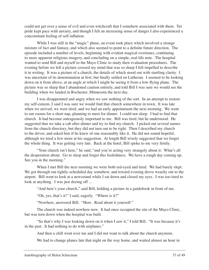could not get over a sense of evil and even witchcraft that I somehow associated with them. Yet pride kept pace with anxiety, and though I felt an increasing sense of danger I also experienced a concomitant feeling of self-inflation.

While I was still in the "magic" phase, an event took place which involved a strange mixture of fact and fantasy, and which also seemed to point to a definite future direction. The episode included a number of levels, beginning with evident magical overtones, continuing to more apparent religious imagery, and concluding on a simple, real-life note. The hospital wanted to send Bill and myself to the Mayo Clinic to study their evaluation procedures. The evening before we left a picture crossed my mind that was so sharp I felt impelled to describe it in writing. It was a picture of a church, the details of which stood out with startling clarity. I was uncertain of its denomination at first, but finally settled on Lutheran. I seemed to be looking down on it from above, at an angle at which I might be seeing it from a low-flying plane. The picture was so sharp that I abandoned caution entirely, and told Bill I was sure we would see the building when we landed in Rochester, Minnesota the next day.

I was disappointed and angry when we saw nothing of the sort. In an attempt to restore my self-esteem, I said I was sure we would find that church somewhere in town. It was late when we arrived, we were tired, and we had an early appointment the next morning. We went to our rooms for a short nap, planning to meet for dinner. I could not sleep. I had to find that church. It had become outrageously important to me. Bill was tired, but he understood. He suggested that we take a cab after dinner and try to find my church. I picked out several names from the church directory, but they did not turn out to be right. Then I described my church to the driver, and asked him if he knew of one reasonably like it. He did not sound hopeful, although we tried a few more at his suggestion. At length Bill wisely suggested that we forget the whole thing. It was getting very late. Back at the hotel, Bill spoke to me very firmly.

"Your church isn't here," he said, "and you're acting very strangely about it. What's all the desperation about. Go to sleep and forget this foolishness. We have a rough day coming up. See you in the morning."

When I met Bill the next morning we were both red-eyed and tired. We had barely slept. We got through our tightly-scheduled day somehow, and toward evening drove wearily out to the airport. Bill went to look at a newsstand while I sat down and closed my eyes. I was too tired to look at anything. I was just dozing off ...

"And here's your church," said Bill, holding a picture in a guidebook in front of me.

"Oh, yes, that's it!" I said, eagerly. "Where is it?"

"Nowhere, answered Bill. "Here. Read about it yourself."

The church was indeed nowhere now. It had once occupied the site of the Mayo Clinic, but was torn down when the hospital was built.

"So that's why I was looking down on it when I saw it," I told Bill. "It was because it's in the past. It had nothing to do with airplanes."

And then a chill went over me and I did not want to talk about the church anymore.

We had to change planes late that night on the way home, and waited almost an hour in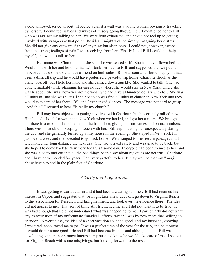a cold almost-deserted airport. Huddled against a wall was a young woman obviously traveling by herself. I could feel waves and waves of misery going through her. I mentioned her to Bill, who was against my talking to her. We were both exhausted, and he did not feel up to getting involved with strangers at that point. Besides, I might well be simply imagining her distress. She did not give any outward signs of anything but sleepiness. I could not, however, escape from the strong feelings of pain I was receiving from her. Finally I told Bill I could not help myself, and went to talk to her.

Her name was Charlotte, and she said she was scared stiff. She had never flown before. Would I sit with her and hold her hand? I took her over to Bill, and suggested that we put her in between us so she would have a friend on both sides. Bill was courteous but unhappy. It had been a difficult trip and he would have preferred a peaceful trip home. Charlotte shook as the plane took off, but I held her hand and she calmed down quickly. She wanted to talk. She had done remarkably little planning, having no idea where she would stay in New York, where she was headed. She was, however, not worried. She had several hundred dollars with her. She was a Lutheran, and she was sure all she had to do was find a Lutheran church in New York and they would take care of her there. Bill and I exchanged glances. The message was not hard to grasp. "And this," I seemed to hear, "is really my church."

Bill may have objected to getting involved with Charlotte, but he certainly rallied now. He phoned a hotel for women in New York when we landed, and got her a room. We brought her there in a cab and deposited her at the front door, giving her our names and phone numbers. There was no trouble in keeping in touch with her. Bill kept meeting her unexpectedly during the day, and she generally turned up at my house in the evening. She stayed in New York for just over a week and then decided to go back home. We arranged for her return passage, and I telephoned her long distance the next day. She had arrived safely and was glad to be back, but she hoped to come back to New York for a visit some day. Everyone had been so nice to her, and she was glad to find out that all the bad things people say about big cities are not true. Charlotte and I have corresponded for years. I am very grateful to her. It may well be that my "magic" phase began to end in the plain fact of Charlotte.

#### *Clarity and Preparation*

It was getting toward autumn and it had been a wearing summer. Bill had retained his interest in Cayce, and suggested that we might take a few days off, go down to Virginia Beach to the Association for Research and Enlightenment, and look over the evidence there. The idea did not appeal to me. That sort of thing still frightened me and I did not want it to be true. It was bad enough that I did not understand what was happening to me. I particularly did not want any exacerbation of my unfortunate "magical" efforts, which I was by now more than willing to abandon. Nevertheless, the idea of a short vacation sounded good, and my husband, knowing I was tired, encouraged me to go. It was a perfect time of the year for the trip, and he thought it would do me some good. He and Bill had become friends, and although he felt Bill was developing some rather strange interests, my husband knew he would take care of me. I set out for Virginia Beach with some misgivings, but looking forward to the rest.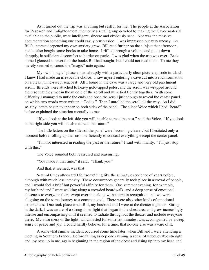As it turned out the trip was anything but restful for me. The people at the Association for Research and Enlightenment, then only a small group devoted to making the Cayce material available to the public, were intelligent, sincere and obviously sane. Nor was the massive documentation something one could easily brush aside. I was impressed but very uneasy. As Bill's interest deepened my own anxiety grew. Bill read further on the subject that afternoon, and he also bought some books to take home. I riffled through a volume and put it down abruptly, in sufficient discomfort to border on panic. I was glad when the trip was over. Back home I glanced at several of the books Bill had bought, but I could not read them. To me they merely seemed to sound the "magic" note again.1

My own "magic" phase ended abruptly with a particularly clear picture episode in which I knew I had made an irrevocable choice. I saw myself entering a cave cut into a rock formation on a bleak, wind-swept seacoast. All I found in the cave was a large and very old parchment scroll. Its ends were attached to heavy gold-tipped poles, and the scroll was wrapped around them so that they met in the middle of the scroll and were tied tightly together. With some difficulty I managed to untie the ends and open the scroll just enough to reveal the center panel, on which two words were written: "God is." Then I unrolled the scroll all the way. As I did so, tiny letters began to appear on both sides of the panel. The silent Voice which I had "heard" before explained the situation mentally to me:

"If you look at the left side you will be able to read the past," said the Voice. "If you look at the right side you will be able to read the future."

The little letters on the sides of the panel were becoming clearer, but I hesitated only a moment before rolling up the scroll sufficiently to conceal everything except the center panel.

"I'm not interested in reading the past or the future," I said with finality. "I'll just stop with this."

The Voice sounded both reassured and reassuring.

"You made it that time," it said. "Thank you."

And that, it seemed, was that.

Several times afterward I felt something like the subway experience of years before, although with much less intensity. These occurrences generally took place in a crowd of people, and I would feel a brief but powerful affinity for them. One summer evening, for example, my husband and I were walking along a crowded boardwalk, and a deep sense of emotional closeness to everyone there swept over me, along with a certain recognition that we were all going on the same journey to a common goal. There were also other kinds of emotional experiences. One took place when Bill, my husband and I were at the theater together. Sitting in the dark, I was aware of a strong inner light that began in the chest area and grew increasingly intense and encompassing until it seemed to radiate throughout the theater and include everyone there. My awareness of the light, which lasted for some ten minutes, was accompanied by a deep sense of peace and joy. I could hardly believe, for a time, that no-one else was aware of it.

A somewhat similar incident occurred some time later, when Bill and I were attending a meeting in Southern France. Before falling asleep one evening, a sense of unbelievable strength and joy rose up in me, again beginning in the region of the chest and rising up into my head and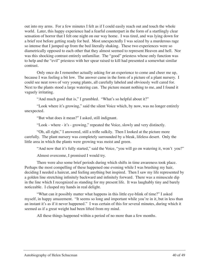out into my arms. For a few minutes I felt as if I could easily reach out and touch the whole world. Later, this happy experience had a fearful counterpart in the form of a startlingly clear sensation of horror that I felt one night on our way home. I was tired, and was lying down for a brief rest before getting ready for bed. Most unexpectedly I was seized by a murderous rage so intense that I jumped up from the bed literally shaking. These two experiences were so diametrically opposed to each other that they almost seemed to represent Heaven and hell. Nor was this shocking contrast entirely unfamiliar. The "good" priestess whose only function was to help and the "evil" priestess with her spear raised to kill had presented a somewhat similar contrast.

Only once do I remember actually asking for an experience to come and cheer me up, because I was feeling a bit low. The answer came in the form of a picture of a plant nursery. I could see neat rows of very young plants, all carefully labeled and obviously well cared for. Next to the plants stood a large watering can. The picture meant nothing to me, and I found it vaguely irritating.

"And much good that is," I grumbled. "What's so helpful about it?"

"Look where it's growing," said the silent Voice which, by now, was no longer entirely unexpected.

"But what does it mean?" I asked, still indignant.

"Look - where - it's - growing," repeated the Voice, slowly and very distinctly.

"Oh, all right," I answered, still a trifle sulkily. Then I looked at the picture more carefully. The plant nursery was completely surrounded by a bleak, lifeless desert. Only the little area in which the plants were growing was moist and green.

"And now that it's fully started," said the Voice, "you will go on watering it, won't you?"

Almost overcome, I promised I would try.

There were also some brief periods during which shifts in time awareness took place. Perhaps the most compelling of these happened one evening while I was brushing my hair, deciding I needed a haircut, and feeling anything but inspired. Then I saw my life represented by a golden line stretching infinitely backward and infinitely forward. There was a minuscule dip in the line which I recognized as standing for my present life. It was laughably tiny and barely noticeable. I clasped my hands in real delight.

"What can it possibly matter what happens in this little eye-blink of time?" I asked myself, in happy amazement. "It seems so long and important while you're in it, but in less than an instant it's as if it never happened." I was certain of this for several minutes, during which it seemed as if a great weight had been lifted from my mind.

All these things happened within a period of no more than a few months.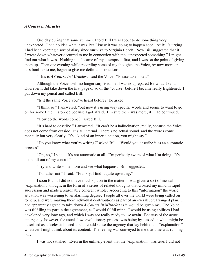#### *A Course in Miracles*

One day during that same summer, I told Bill I was about to do something very unexpected. I had no idea what it was, but I knew it was going to happen soon. At Bill's urging I had been keeping a sort of diary since our visit to Virginia Beach. Now Bill suggested that if I wrote down whatever occurred to me in connection with the "unexpected something," I might find out what it was. Nothing much came of my attempts at first, and I was on the point of giving them up. Then one evening while recording some of my thoughts, the Voice, by now more or less familiar to me, began to give me definite instructions.

"This is *A Course in Miracles*," said the Voice. "Please take notes."

Although the Voice itself no longer surprised me, I was not prepared for what it said. However, I did take down the first page or so of the "course" before I became really frightened. I put down my pencil and called Bill.

"Is it the same Voice you've heard before?" he asked.

"I think so," I answered, "but now it's using very specific words and seems to want to go on for some time. I stopped because I got afraid. I'm sure there was more, if I had continued."

"How do the words come?" asked Bill.

"It's hard to describe," I answered. "It can't be a hallucination, really, because the Voice does not come from outside. It's all internal. There's no actual sound, and the words come mentally but very clearly. It's a kind of an inner dictation, you might say."

"Do you know what you're writing?" asked Bill. "Would you describe it as an automatic process?"

"Oh, no," I said. "It's not automatic at all. I'm perfectly aware of what I'm doing. It's not at all out of my control."

"Try and write some more and see what happens," Bill suggested.

"I'd rather not," I said. "Frankly, I find it quite upsetting."

I soon found I did not have much option in the matter. I was given a sort of mental "explanation," though, in the form of a series of related thoughts that crossed my mind in rapid succession and made a reasonably coherent whole. According to this "information" the world situation was worsening to an alarming degree. People all over the world were being called on to help, and were making their individual contributions as part of an overall, prearranged plan. I had apparently agreed to take down *A Course in Miracles* as it would be given me. The Voice was fulfilling its part in the agreement, as I would fulfill mine. I would be using abilities I had developed very long ago, and which I was not really ready to use again. Because of the acute emergency, however, the usual slow, evolutionary process was being by-passed in what might be described as a "celestial speed-up." I could sense the urgency that lay behind this "explanation," whatever I might think about its content. The feeling was conveyed to me that time was running out.

I was not satisfied. Even in the unlikely event that the "explanation" was true, I did not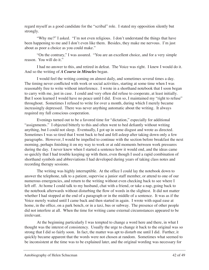regard myself as a good candidate for the "scribal" role. I stated my opposition silently but strongly.

"Why me?" I asked. "I'm not even religious. I don't understand the things that have been happening to me and I don't even like them. Besides, they make me nervous. I'm just about as poor a choice as you could make."

"On the contrary," I was assured. "You are an excellent choice, and for a very simple reason. You will do it."

I had no answer to this, and retired in defeat. The Voice was right. I knew I would do it. And so the writing of *A Course in Miracles* began.

I would feel the writing coming on almost daily, and sometimes several times a day. The timing never conflicted with work or social activities, starting at some time when I was reasonably free to write without interference. I wrote in a shorthand notebook that I soon began to carry with me, just in case. I could and very often did refuse to cooperate, at least initially. But I soon learned I would have no peace until I did. Even so, I maintained my "right to refuse" throughout. Sometimes I refused to write for over a month, during which I merely became increasingly depressed. There was never anything automatic about the writing. It always required my full conscious cooperation.

Evenings turned out to be a favored time for "dictation," especially for additional "assignments." I objected bitterly to this and often went to bed defiantly without writing anything, but I could not sleep. Eventually, I got up in some disgust and wrote as directed. Sometimes I was so tired that I went back to bed and fell asleep after taking down only a few paragraphs. However, I would be impelled to continue with the section before breakfast the next morning, perhaps finishing it on my way to work or at odd moments between work pressures during the day. I never knew when I started a sentence how it would end, and the ideas came so quickly that I had trouble keeping up with them, even though I used a rapid combination of shorthand symbols and abbreviations I had developed during years of taking class notes and recording therapy sessions.

The writing was highly interruptible. At the office I could lay the notebook down to answer the telephone, talk to a patient, supervise a junior staff member, or attend to one of our numerous emergencies, and return to the writing without even checking back to see where I left off. At home I could talk to my husband, chat with a friend, or take a nap, going back to the notebook afterwards without disturbing the flow of words in the slightest. It did not matter whether I had stopped at the end of a paragraph or in the middle of a sentence. It was as if the Voice merely waited until I came back and then started in again. I wrote with equal ease at home, in the office, on a park bench, or in a taxi, bus or subway. The presence of other people did not interfere at all. When the time for writing came external circumstances appeared to be irrelevant.

At the beginning particularly I was tempted to change a word here and there, in what I thought was the interest of consistency. Usually the urge to change it back to the original was so strong that I did so fairly soon. In fact, the matter was apt to disturb me until I did. Further, it quickly became apparent that the words were not chosen at random. Sometimes what seemed to be inconsistent at the time was to be explained later, and the original wording was necessary for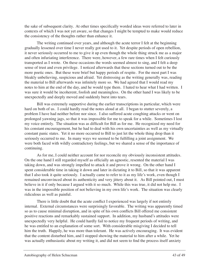the sake of subsequent clarity. At other times specifically worded ideas were referred to later in contexts of which I was not yet aware, so that changes I might be tempted to make would reduce the consistency of the thoughts rather than enhance it.

The writing continued over years, and although the acute terror I felt at the beginning gradually lessened over time I never really got used to it. Yet despite periods of open rebellion, it never seriously occurred to me to give it up even though the whole thing struck me as a major and often infuriating interference. There were, however, a few rare times when I felt curiously transported as I wrote. On these occasions the words seemed almost to sing, and I felt a deep sense of trust and even privilege. I noticed afterwards that these sections turned out to be the more poetic ones. But these were brief but happy periods of respite. For the most part I was bleakly unbelieving, suspicious and afraid. Yet distressing as the writing generally was, reading the material to Bill afterwards was infinitely more so. We had agreed that I would read my notes to him at the end of the day, and he would type them. I hated to hear what I had written. I was sure it would be incoherent, foolish and meaningless. On the other hand I was likely to be unexpectedly and deeply moved and suddenly burst into tears.

Bill was extremely supportive during the earlier transcriptions in particular, which were hard on both of us. I could hardly read the notes aloud at all. I began to stutter severely, a problem I have had neither before nor since. I also suffered acute coughing attacks or went on prolonged yawning jags, so that it was impossible for me to speak for a while. Sometimes I lost my voice entirely. The situation was as difficult for Bill as for me. He recognized my need for his constant encouragement, but he had to deal with his own uncertainties as well as my virtually constant panic states. Yet it no more occurred to Bill to just let the whole thing drop than it seriously occurred to me. In many ways we seemed to be fulfilling a joint assignment. We were both faced with wildly contradictory feelings, but we shared a sense of the importance of continuing.

As for me, I could neither account for nor reconcile my obviously inconsistent attitudes. On the one hand I still regarded myself as officially an agnostic, resented the material I was taking down, and was strongly impelled to attack it and prove it wrong. On the other hand I spent considerable time in taking it down and later in dictating it to Bill, so that it was apparent that I also took it quite seriously. I actually came to refer to it as my life's work, even though I remained unconvinced about its authenticity and very jittery about it. As Bill pointed out, I must believe in it if only because I argued with it so much. While this was true, it did not help me. I was in the impossible position of not believing in my own life's work. The situation was clearly ridiculous as well as painful.

There is little doubt that the acute conflict I experienced was largely if not entirely internal. External circumstances were surprisingly favorable. The writing was apparently timed so as to cause minimal disruption, and in spite of his own conflicts Bill offered me consistent positive reactions and remarkably sustained support. In addition, my husband's attitudes were unexpectedly very helpful. He could hardly fail to notice my frequent periods of writing, and he was entitled to an explanation of some sort. With considerable misgiving I decided to tell him the truth. Happily, he was more than tolerant. He was actively encouraging. It was evident that the content disturbed him, and I stopped showing the material to him after a while. Yet he was actually enthusiastic about my writing it, and did not seem to find the process itself anxiety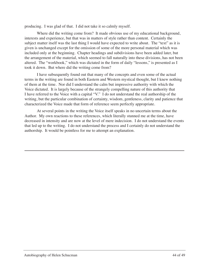producing. I was glad of that. I did not take it so calmly myself.

Where did the writing come from? It made obvious use of my educational background, interests and experience, but that was in matters of style rather than content. Certainly the subject matter itself was the last thing I would have expected to write about. The "text" as it is given is unchanged except for the omission of some of the more personal material which was included only at the beginning. Chapter headings and subdivisions have been added later, but the arrangement of the material, which seemed to fall naturally into these divisions, has not been altered. The "workbook," which was dictated in the form of daily "lessons," is presented as I took it down. But where did the writing come from?

I have subsequently found out that many of the concepts and even some of the actual terms in the writing are found in both Eastern and Western mystical thought, but I knew nothing of them at the time. Nor did I understand the calm but impressive authority with which the Voice dictated. It is largely because of the strangely compelling nature of this authority that I have referred to the Voice with a capital "V." I do not understand the real authorship of the writing, but the particular combination of certainty, wisdom, gentleness, clarity and patience that characterized the Voice made that form of reference seem perfectly appropriate.

At several points in the writing the Voice itself speaks in no uncertain terms about the Author. My own reactions to these references, which literally stunned me at the time, have decreased in intensity and are now at the level of mere indecision. I do not understand the events that led up to the writing. I do not understand the process and I certainly do not understand the authorship. It would be pointless for me to attempt an explanation.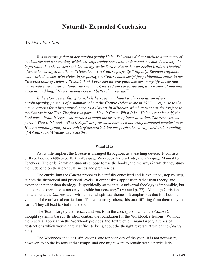# **Naturally Expanded Conclusion**

#### *Archives End Note:*

*It is interesting that in her autobiography Helen Schucman did not include a summary of*  the *Course and its meaning, which she impeccably knew and understood, seemingly leaving the impression that she lacked such knowledge as its Scribe. But as her co-Scribe William Thetford often acknowledged to others, "Helen knew* the *Course perfectly." Equally, Kenneth Wapnick, who worked closely with Helen in preparing* the *Course manuscript for publication, states in his "Recollections of Helen": "I don't think I ever met anyone quite like her in my life … she had an incredibly holy side … (and) she knew* the *Course from the inside out, as a matter of inherent wisdom." Adding, "Hence, nobody knew it better than she did"*

*It therefore seems fitting to include here, as an adjunct to the conclusion of her autobiography, portions of a summary about* the *Course Helen wrote in 1977 in response to the many requests for a brief introduction to A Course in Miracles, which appears as the Preface to*  the *Course in the Text. The first two parts – How It Came, What It Is – Helen wrote herself; the final part – What It Says – she scribed through the process of inner dictation. The synonymous parts "What It Is" and "What It Says" are presented here as a naturally expanded conclusion to Helen's autobiography in the spirit of acknowledging her perfect knowledge and understanding of A Course in Miracles as its Scribe.*

#### **What It Is**

As its title implies, the *Course* is arranged throughout as a teaching device. It consists of three books: a 699-page Text, a 488-page Workbook for Students, and a 92-page Manual for Teachers. The order in which students choose to use the books, and the ways in which they study them, depend on their particular needs and preferences.

The curriculum the *Course* proposes is carefully conceived and is explained, step by step, at both the theoretical and practical levels. It emphasizes application rather than theory, and experience rather than theology. It specifically states that "a universal theology is impossible, but a universal experience is not only possible but necessary" (Manual p. 77). Although Christian in statement, the *Course* deals with universal spiritual themes. It emphasizes that it is but one version of the universal curriculum. There are many others, this one differing from them only in form. They all lead to God in the end.

The Text is largely theoretical, and sets forth the concepts on which the *Course's* thought system is based. Its ideas contain the foundation for the Workbook's lessons. Without the practical application the Workbook provides, the Text would remain largely a series of abstractions which would hardly suffice to bring about the thought reversal at which the *Course* aims.

The Workbook includes 365 lessons, one for each day of the year. It is not necessary, however, to do the lessons at that tempo, and one might want to remain with a particularly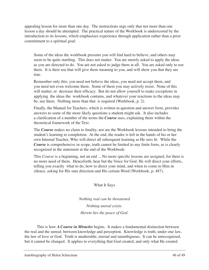appealing lesson for more than one day. The instructions urge only that not more than one lesson a day should be attempted. The practical nature of the Workbook is underscored by the introduction to its lessons, which emphasizes experience through application rather than a prior commitment to a spiritual goal:

Some of the ideas the workbook presents you will find hard to believe, and others may seem to be quite startling. This does not matter. You are merely asked to apply the ideas as you are directed to do. You are not asked to judge them at all. You are asked only to use them. It is their use that will give them meaning to you, and will show you that they are true.

Remember only this; you need not believe the ideas, you need not accept them, and you need not even welcome them. Some of them you may actively resist. None of this will matter, or decrease their efficacy. But do not allow yourself to make exceptions in applying the ideas the workbook contains, and whatever your reactions to the ideas may be, use them. Nothing more than that is required (Workbook, p. 2).

Finally, the Manual for Teachers, which is written in question and answer form, provides answers to some of the more likely questions a student might ask. It also includes a clarification of a number of the terms the *Course* uses, explaining them within the theoretical framework of the Text.

The *Course* makes no claim to finality, nor are the Workbook lessons intended to bring the student's learning to completion. At the end, the reader is left in the hands of his or her own Internal Teacher, Who will direct all subsequent learning as He sees fit. While the *Course* is comprehensive in scope, truth cannot be limited to any finite form, as is clearly recognized in the statement at the end of the Workbook:

This *Course* is a beginning, not an end ... No more specific lessons are assigned, for there is no more need of them. Henceforth, hear but the Voice for God. He will direct your efforts, telling you exactly what to do, how to direct your mind, and when to come to Him in silence, asking for His sure direction and His certain Word (Workbook, p. 487).

What It Says

*Nothing real can be threatened Nothing unreal exists. Herein lies the peace of God.*

This is how *A Course in Miracles* begins. It makes a fundamental distinction between the real and the unreal; between knowledge and perception. Knowledge is truth, under one law, the law of love or God. Truth is unalterable, eternal and unambiguous. It can be unrecognized, but it cannot be changed. It applies to everything that God created, and only what He created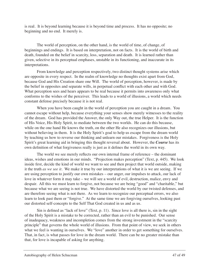is real. It is beyond learning because it is beyond time and process. It has no opposite; no beginning and no end. It merely is.

The world of perception, on the other hand, is the world of time, of change, of beginnings and endings. It is based on interpretation, not on facts. It is the world of birth and death, founded on the belief in scarcity, loss, separation and death. It is learned rather than given, selective in its perceptual emphases, unstable in its functioning, and inaccurate in its interpretations.

From knowledge and perception respectively, two distinct thought systems arise which are opposite in every respect. In the realm of knowledge no thoughts exist apart from God, because God and His Creation share one Will. The world of perception, however, is made by the belief in opposites and separate wills, in perpetual conflict with each other and with God. What perception sees and hears appears to be real because it permits into awareness only what conforms to the wishes of the perceiver. This leads to a world of illusions, a world which needs constant defense precisely because it is not real.

When you have been caught in the world of perception you are caught in a dream. You cannot escape without help, because everything your senses show merely witnesses to the reality of the dream. God has provided the Answer, the only Way out, the true Helper. It is the function of His Voice, His Holy Spirit, to mediate between the two worlds. He can do this because, while on the one hand He knows the truth, on the other He also recognizes our illusions, but without believing in them. It is the Holy Spirit's goal to help us escape from the dream world by teaching us how to reverse our thinking and unlearn our mistakes. Forgiveness is the Holy Spirit's great learning aid in bringing this thought reversal about. However, the *Course* has its own definition of what forgiveness really is just as it defines the world in its own way.

The world we see merely reflects our own internal frame of reference – the dominant ideas, wishes and emotions in our minds. "Projection makes perception" (Text, p. 445). We look inside first, decide the kind of world we want to see and then project that world outside, making it the truth *as we see it.* We make it true by our interpretations of what it is we are seeing. If we are using perception to justify our own mistakes – our anger, our impulses to attack, our lack of love in whatever form it may take – we will see a world of evil, destruction, malice, envy and despair. All this we must learn to forgive, not because we are being "good" and "charitable," but because what we are seeing is not true. We have distorted the world by our twisted defenses, and are therefore seeing what is not there. As we learn to recognize our perceptual errors, we also learn to look past them or "forgive." At the same time we are forgiving ourselves, looking past our distorted self-concepts to the Self That God created in us and as us.

Sin is defined as "lack of love" (Text, p. 11). Since love is all there is, sin in the sight of the Holy Spirit is a mistake to be corrected, rather than an evil to be punished. Our sense of inadequacy, weakness and incompletion comes from the strong investment in the "scarcity principle" that governs the whole world of illusions. From that point of view, we seek in others what we feel is wanting in ourselves. We "love" another in order to get something for ourselves. That, in fact, is what passes for love in the dream world. There can be no greater mistake than that, for love is incapable of asking for anything.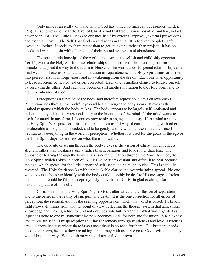Only minds can really join, and whom God has joined no man can put asunder (Text, p. 356). It is, however, only at the level of Christ Mind that true union is possible, and has, in fact, never been lost. The "little I" seeks to enhance itself by external approval, external possessions and external "love." The Self That God created needs nothing. It is forever complete, safe, loved and loving. It seeks to share rather than to get; to extend rather than project. It has no needs and wants to join with others out of their mutual awareness of abundance.

The special relationships of the world are destructive, selfish and childishly egocentric. Yet, if given to the Holy Spirit, these relationships can become the holiest things on earth – miracles that point the way to the return to Heaven. The world uses its special relationships as a final weapon of exclusion and a demonstration of separateness. The Holy Spirit transforms them into perfect lessons in forgiveness and in awakening from the dream. Each one is an opportunity to let perceptions be healed and errors corrected. Each one is another chance to forgive oneself by forgiving the other. And each one becomes still another invitation to the Holy Spirit and to the remembrance of God.

Perception is a function of the body, and therefore represents a limit on awareness. Perception sees through the body's eyes and hears through the body's ears. It evokes the limited responses which the body makes. The body appears to be largely self-motivated and independent, yet it actually responds only to the intentions of the mind. If the mind wants to use it for attack in any form, it becomes prey to sickness, age and decay. If the mind accepts the Holy Spirit's purpose for it instead, it becomes a useful way of communicating with others, invulnerable as long as it is needed, and to be gently laid by when its use is over. Of itself it is neutral, as is everything in the world of perception. Whether it is used for the goals of the ego or the Holy Spirit depends entirely on what the mind wants.

The opposite of seeing through the body's eyes is the vision of Christ, which reflects strength rather than weakness, unity rather than separation, and love rather than fear. The opposite of hearing through the body's ears is communication through the Voice for God, the Holy Spirit, which abides in each of us. His Voice seems distant and difficult to hear because the ego, which speaks for the little, separated self, seems to be much louder. This is actually reversed. The Holy Spirit speaks with unmistakable clarity and overwhelming appeal. No one who does not choose to identify with the body could possibly be deaf to His messages of release and hope, nor could he fail to accept joyously the vision of Christ in glad exchange for his miserable picture of himself.

Christ's vision is the Holy Spirit's gift, God's alternative to the illusion of separation and to the belief in the reality of sin, guilt and death. It is the one correction for all errors of perception; the reconciliation of the seeming opposites on which this world is based. Its kindly light shows all things from another point of view, reflecting the thought system that arises from knowledge and making return to God not only possible but inevitable. What was regarded as injustices done to one by someone else now becomes a call for help and for union. Sin, sickness and attack are seen as misperceptions calling for remedy through gentleness and love. Defenses are laid down because where there is no attack there is no need for them. Our brothers' needs become our own, because they are taking the journey with us as we go to God. Without us they would lose their way. Without them we could never find our own.